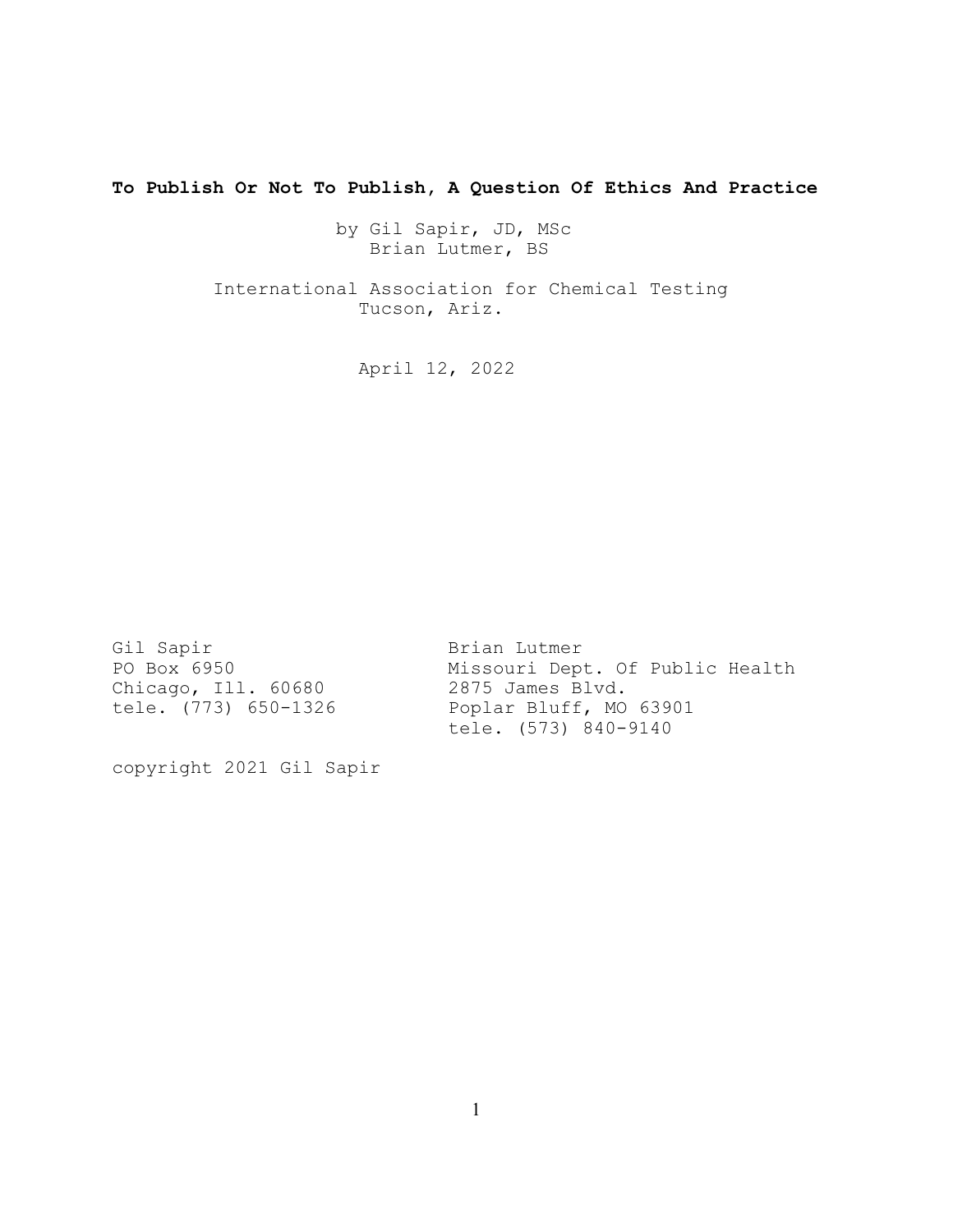**To Publish Or Not To Publish, A Question Of Ethics And Practice**

 by Gil Sapir, JD, MSc Brian Lutmer, BS

 International Association for Chemical Testing Tucson, Ariz.

April 12, 2022

Gil Sapir Brian Lutmer Chicago, Ill. 60680 2875 James Blvd.

Missouri Dept. Of Public Health tele. (773) 650-1326 Poplar Bluff, MO 63901 tele. (573) 840-9140

copyright 2021 Gil Sapir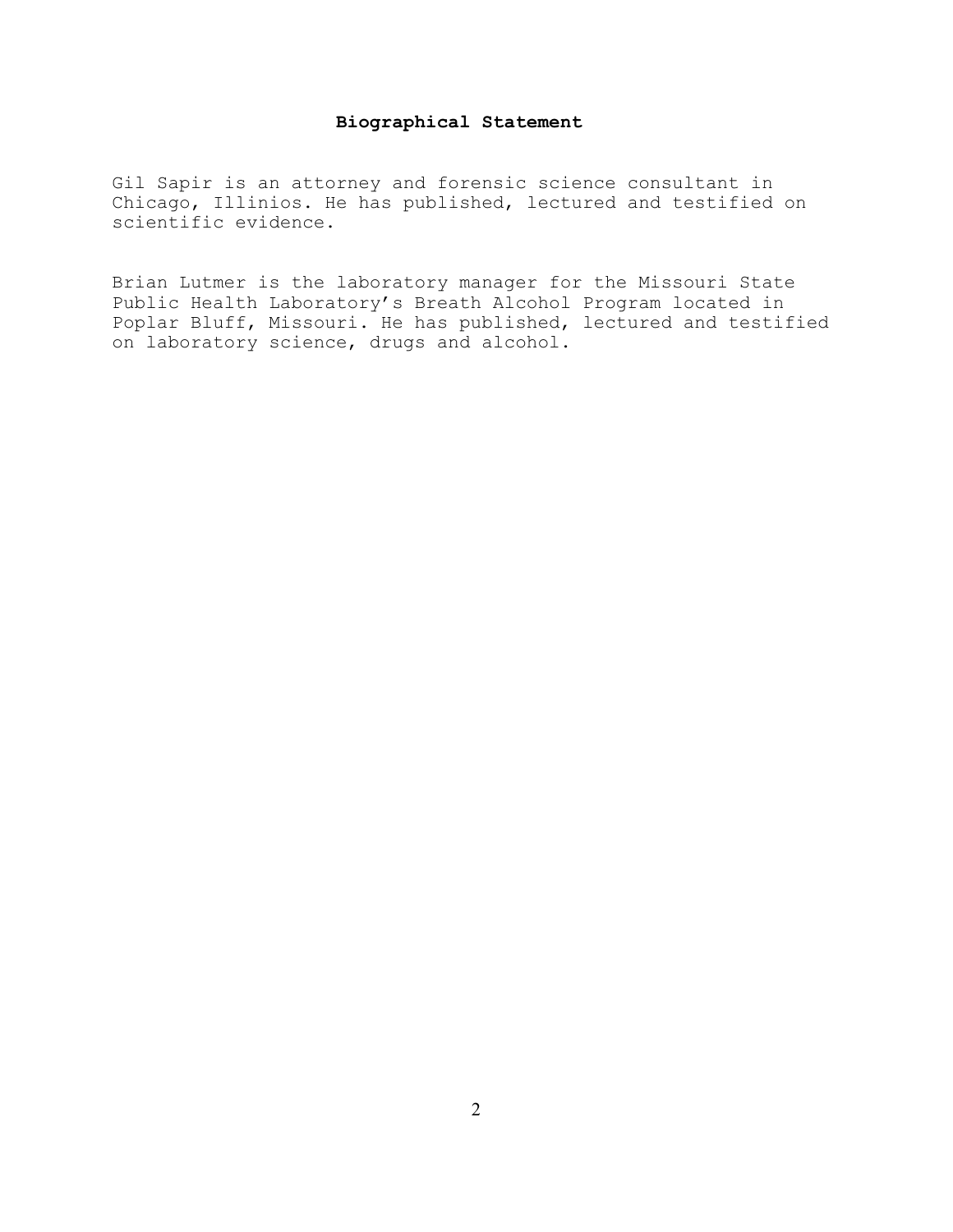# **Biographical Statement**

Gil Sapir is an attorney and forensic science consultant in Chicago, Illinios. He has published, lectured and testified on scientific evidence.

Brian Lutmer is the laboratory manager for the Missouri State Public Health Laboratory's Breath Alcohol Program located in Poplar Bluff, Missouri. He has published, lectured and testified on laboratory science, drugs and alcohol.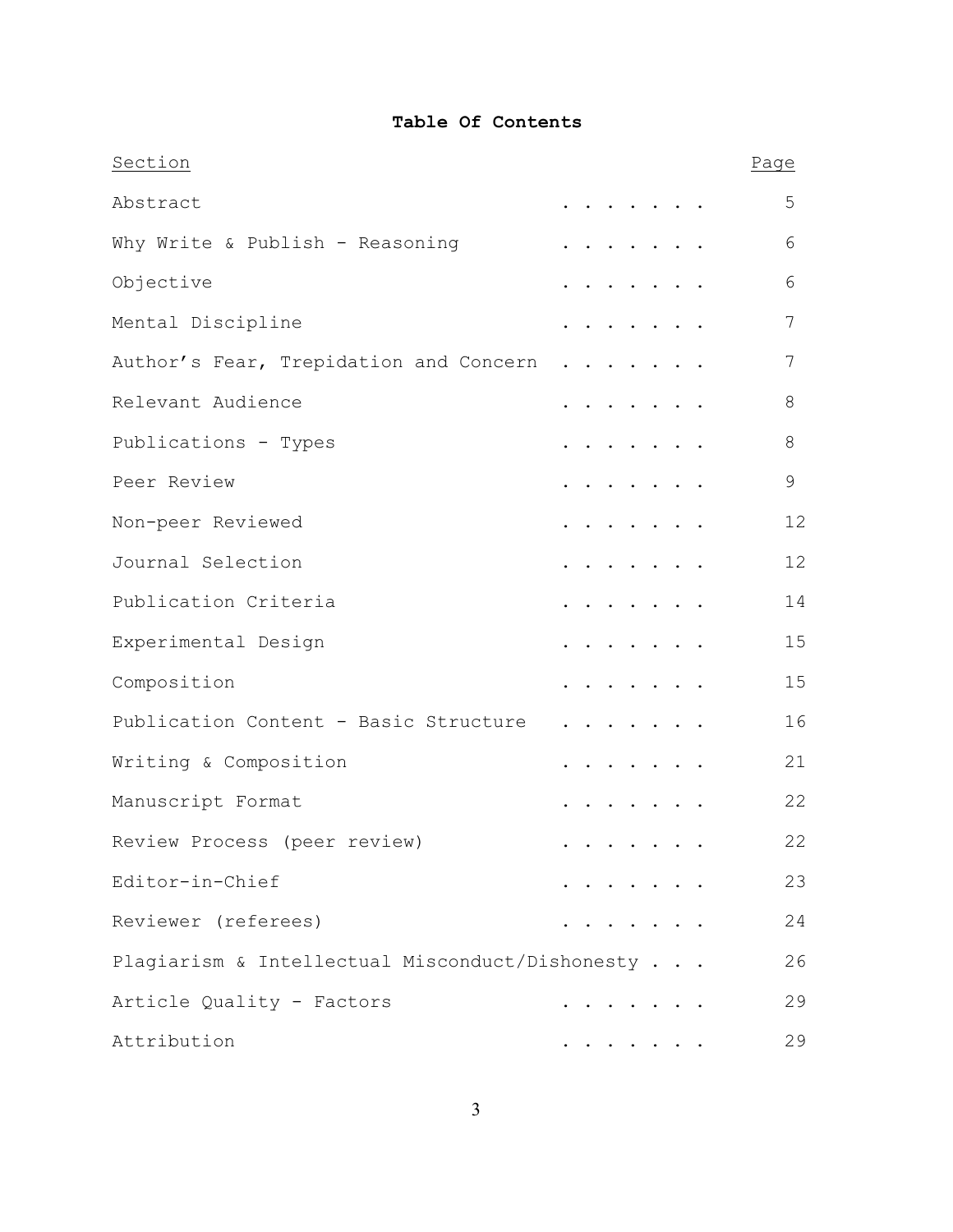## **Table Of Contents**

| Section                                         |  |  |                                                                          |  | Page |    |
|-------------------------------------------------|--|--|--------------------------------------------------------------------------|--|------|----|
| Abstract                                        |  |  | $\mathbf{r}$ , $\mathbf{r}$ , $\mathbf{r}$ , $\mathbf{r}$ , $\mathbf{r}$ |  |      | 5  |
| Why Write & Publish - Reasoning                 |  |  |                                                                          |  |      | 6  |
| Objective                                       |  |  |                                                                          |  |      | 6  |
| Mental Discipline                               |  |  | $\cdots$                                                                 |  |      | 7  |
| Author's Fear, Trepidation and Concern          |  |  |                                                                          |  |      | 7  |
| Relevant Audience                               |  |  |                                                                          |  |      | 8  |
| Publications - Types                            |  |  | $\sim$ $\sim$ $\sim$ $\sim$ $\sim$ $\sim$ $\sim$                         |  |      | 8  |
| Peer Review                                     |  |  |                                                                          |  |      | 9  |
| Non-peer Reviewed                               |  |  |                                                                          |  |      | 12 |
| Journal Selection                               |  |  |                                                                          |  |      | 12 |
| Publication Criteria                            |  |  | $\cdots$                                                                 |  |      | 14 |
| Experimental Design                             |  |  | $\cdots$                                                                 |  |      | 15 |
| Composition                                     |  |  |                                                                          |  |      | 15 |
| Publication Content - Basic Structure           |  |  |                                                                          |  |      | 16 |
| Writing & Composition                           |  |  |                                                                          |  |      | 21 |
| Manuscript Format                               |  |  |                                                                          |  |      | 22 |
| Review Process (peer review)                    |  |  |                                                                          |  |      | 22 |
| Editor-in-Chief                                 |  |  | .                                                                        |  |      | 23 |
| Reviewer (referees)                             |  |  |                                                                          |  |      | 24 |
| Plagiarism & Intellectual Misconduct/Dishonesty |  |  |                                                                          |  |      | 26 |
| Article Quality - Factors                       |  |  |                                                                          |  |      | 29 |
| Attribution                                     |  |  |                                                                          |  |      | 29 |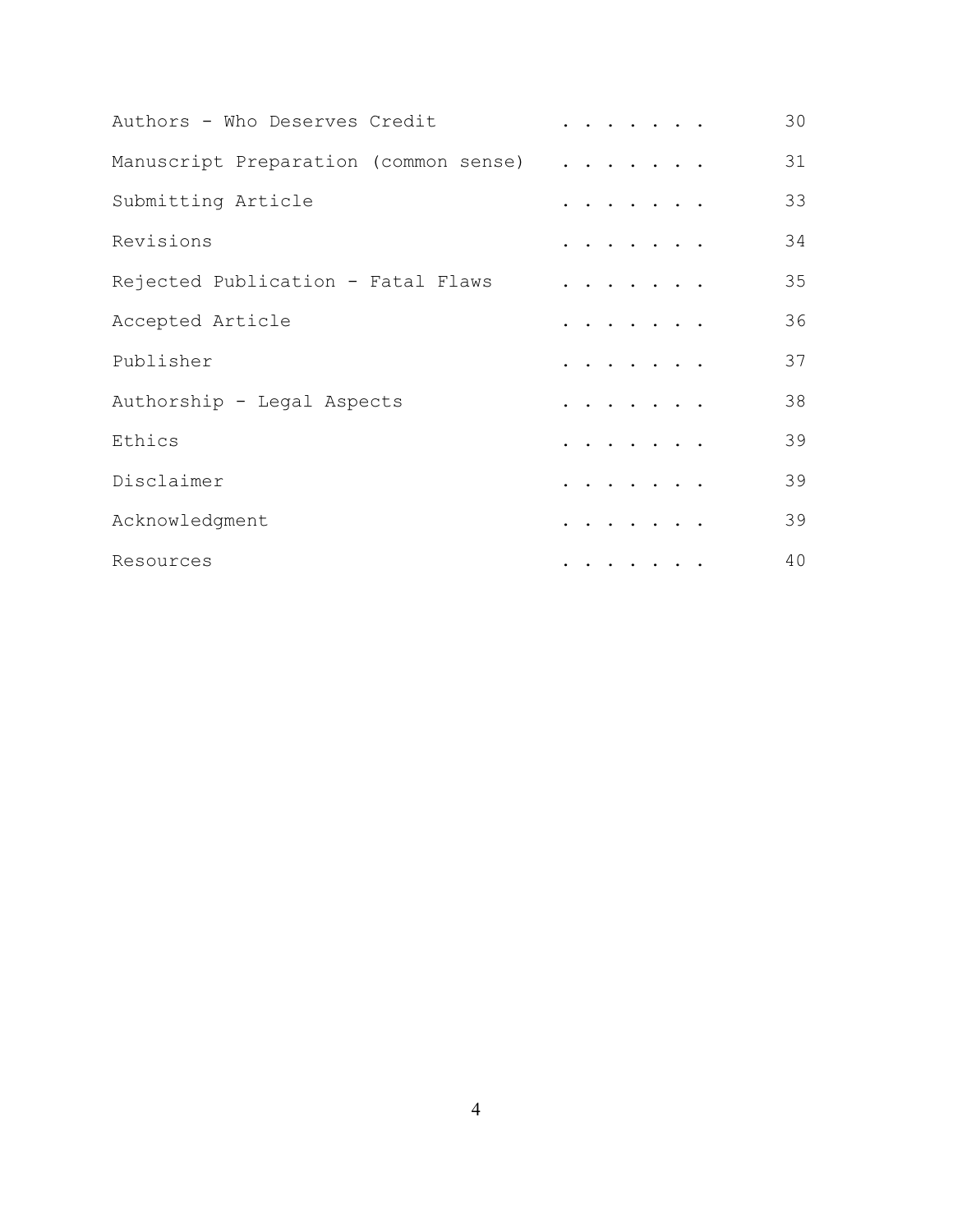| Authors - Who Deserves Credit         |                                                                                                                                               | 30 |
|---------------------------------------|-----------------------------------------------------------------------------------------------------------------------------------------------|----|
| Manuscript Preparation (common sense) | $\begin{array}{cccccccccccccc} . & . & . & . & . & . & . & . \end{array}$                                                                     | 31 |
| Submitting Article                    | $\begin{array}{cccccccccccccc} . & . & . & . & . & . & . & . \end{array}$                                                                     | 33 |
| Revisions                             | $\begin{array}{cccccccccccccc} \bullet & \bullet & \bullet & \bullet & \bullet & \bullet & \bullet & \bullet & \bullet & \bullet \end{array}$ | 34 |
| Rejected Publication - Fatal Flaws    | .                                                                                                                                             | 35 |
| Accepted Article                      | $\cdots$                                                                                                                                      | 36 |
| Publisher                             | .                                                                                                                                             | 37 |
| Authorship - Legal Aspects            | .                                                                                                                                             | 38 |
| Ethics                                | .                                                                                                                                             | 39 |
| Disclaimer                            | $\cdots$                                                                                                                                      | 39 |
| Acknowledgment                        |                                                                                                                                               | 39 |
| Resources                             |                                                                                                                                               | 40 |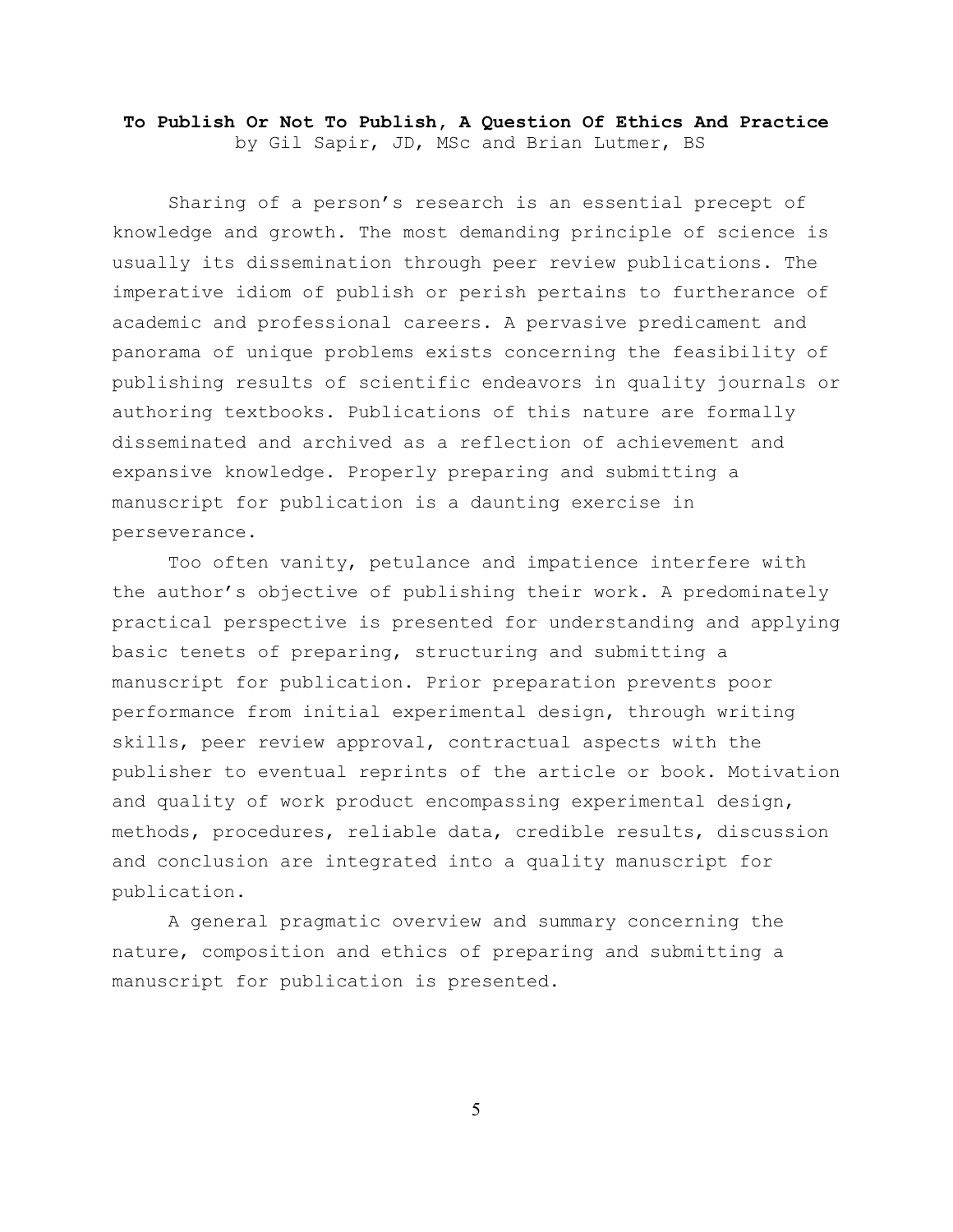## **To Publish Or Not To Publish, A Question Of Ethics And Practice** by Gil Sapir, JD, MSc and Brian Lutmer, BS

Sharing of a person's research is an essential precept of knowledge and growth. The most demanding principle of science is usually its dissemination through peer review publications. The imperative idiom of publish or perish pertains to furtherance of academic and professional careers. A pervasive predicament and panorama of unique problems exists concerning the feasibility of publishing results of scientific endeavors in quality journals or authoring textbooks. Publications of this nature are formally disseminated and archived as a reflection of achievement and expansive knowledge. Properly preparing and submitting a manuscript for publication is a daunting exercise in perseverance.

Too often vanity, petulance and impatience interfere with the author's objective of publishing their work. A predominately practical perspective is presented for understanding and applying basic tenets of preparing, structuring and submitting a manuscript for publication. Prior preparation prevents poor performance from initial experimental design, through writing skills, peer review approval, contractual aspects with the publisher to eventual reprints of the article or book. Motivation and quality of work product encompassing experimental design, methods, procedures, reliable data, credible results, discussion and conclusion are integrated into a quality manuscript for publication.

A general pragmatic overview and summary concerning the nature, composition and ethics of preparing and submitting a manuscript for publication is presented.

5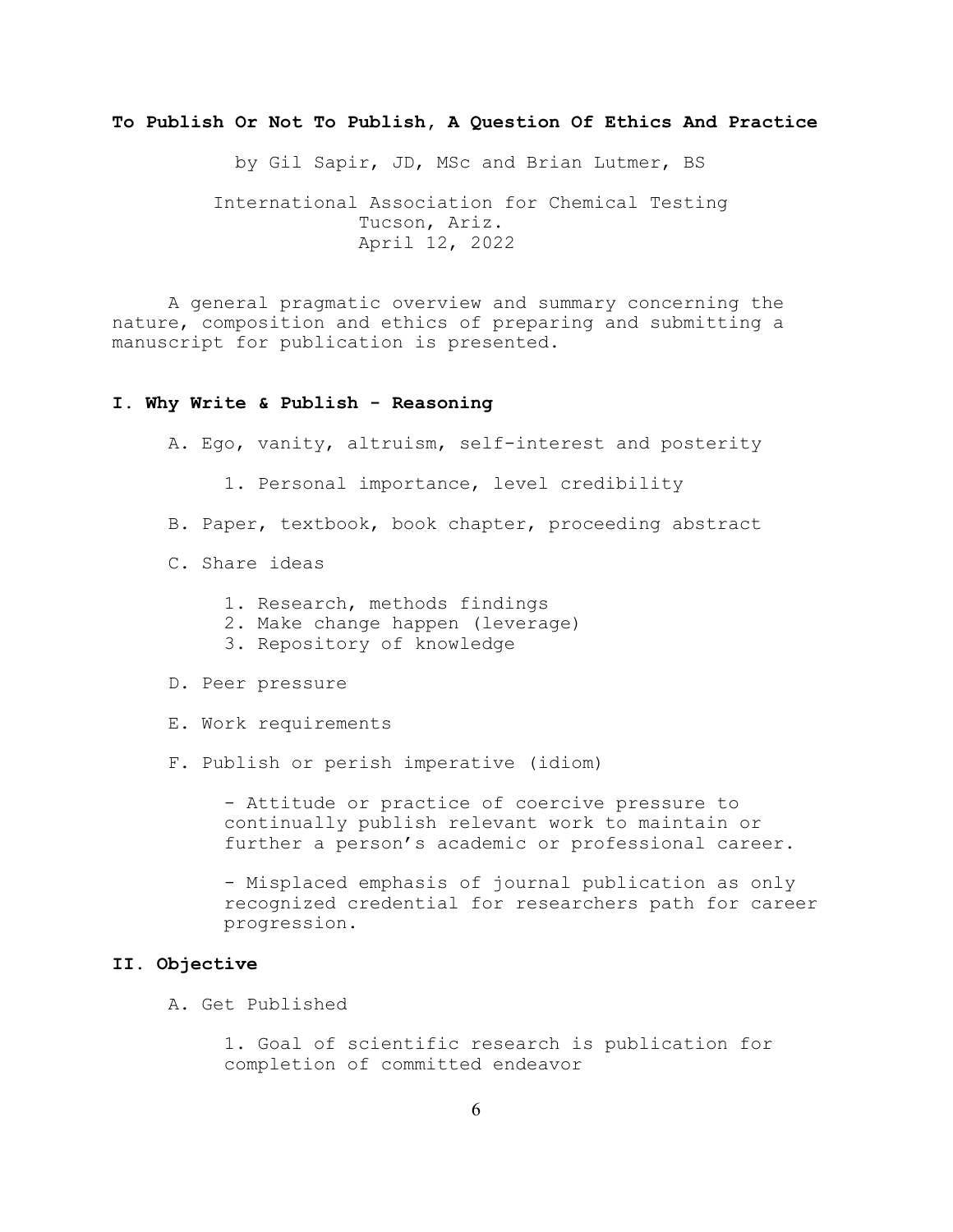### **To Publish Or Not To Publish, A Question Of Ethics And Practice**

by Gil Sapir, JD, MSc and Brian Lutmer, BS

 International Association for Chemical Testing Tucson, Ariz. April 12, 2022

A general pragmatic overview and summary concerning the nature, composition and ethics of preparing and submitting a manuscript for publication is presented.

#### **I. Why Write & Publish - Reasoning**

A. Ego, vanity, altruism, self-interest and posterity

- 1. Personal importance, level credibility
- B. Paper, textbook, book chapter, proceeding abstract
- C. Share ideas
	- 1. Research, methods findings
	- 2. Make change happen (leverage)
	- 3. Repository of knowledge
- D. Peer pressure
- E. Work requirements
- F. Publish or perish imperative (idiom)

- Attitude or practice of coercive pressure to continually publish relevant work to maintain or further a person's academic or professional career.

- Misplaced emphasis of journal publication as only recognized credential for researchers path for career progression.

#### **II. Objective**

A. Get Published

1. Goal of scientific research is publication for completion of committed endeavor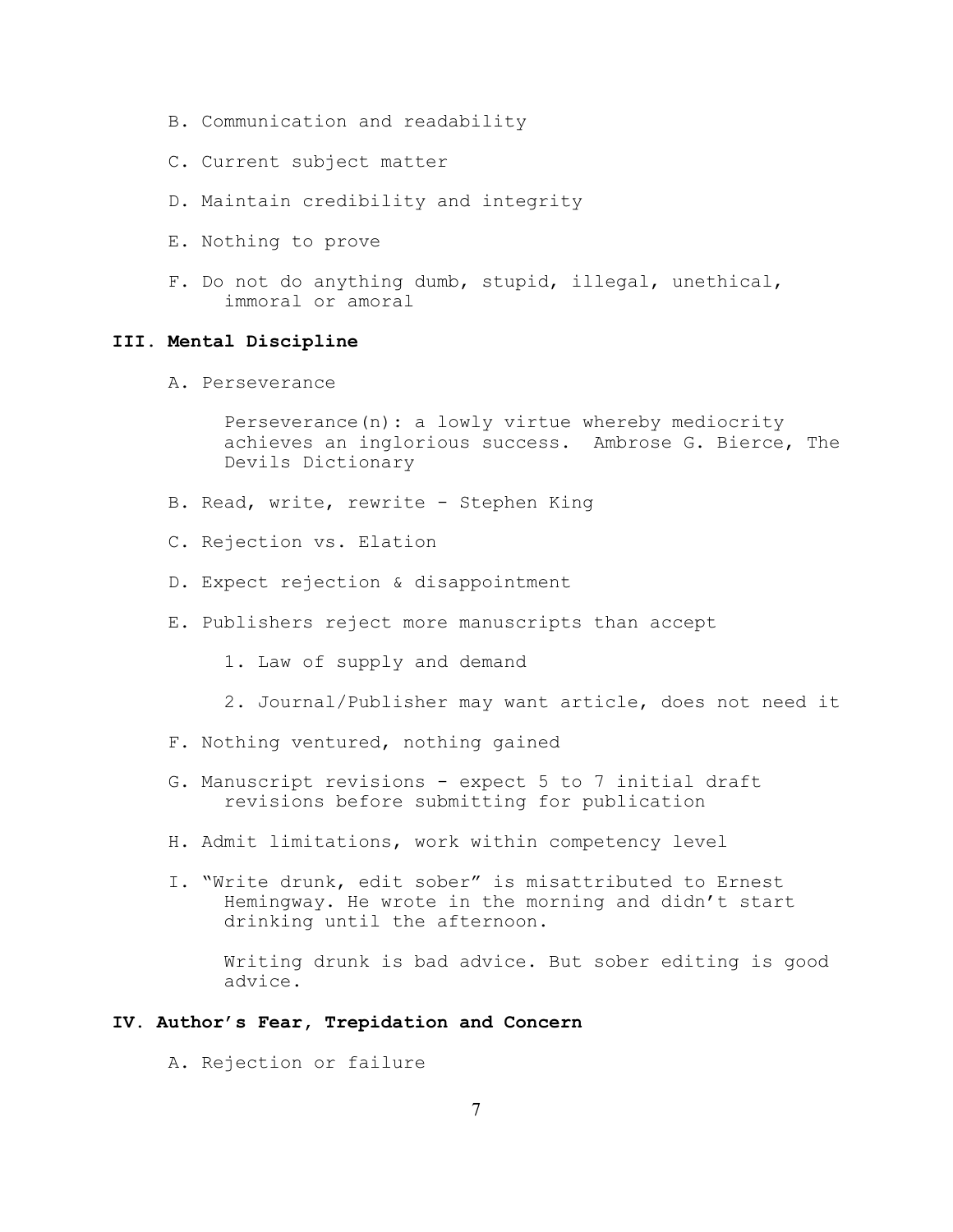- B. Communication and readability
- C. Current subject matter
- D. Maintain credibility and integrity
- E. Nothing to prove
- F. Do not do anything dumb, stupid, illegal, unethical, immoral or amoral

## **III. Mental Discipline**

A. Perseverance

Perseverance(n): a lowly virtue whereby mediocrity achieves an inglorious success. Ambrose G. Bierce, The Devils Dictionary

- B. Read, write, rewrite Stephen King
- C. Rejection vs. Elation
- D. Expect rejection & disappointment
- E. Publishers reject more manuscripts than accept
	- 1. Law of supply and demand
	- 2. Journal/Publisher may want article, does not need it
- F. Nothing ventured, nothing gained
- G. Manuscript revisions expect 5 to 7 initial draft revisions before submitting for publication
- H. Admit limitations, work within competency level
- I. "Write drunk, edit sober" is misattributed to Ernest Hemingway. He wrote in the morning and didn't start drinking until the afternoon.

Writing drunk is bad advice. But sober editing is good advice.

### **IV. Author's Fear, Trepidation and Concern**

A. Rejection or failure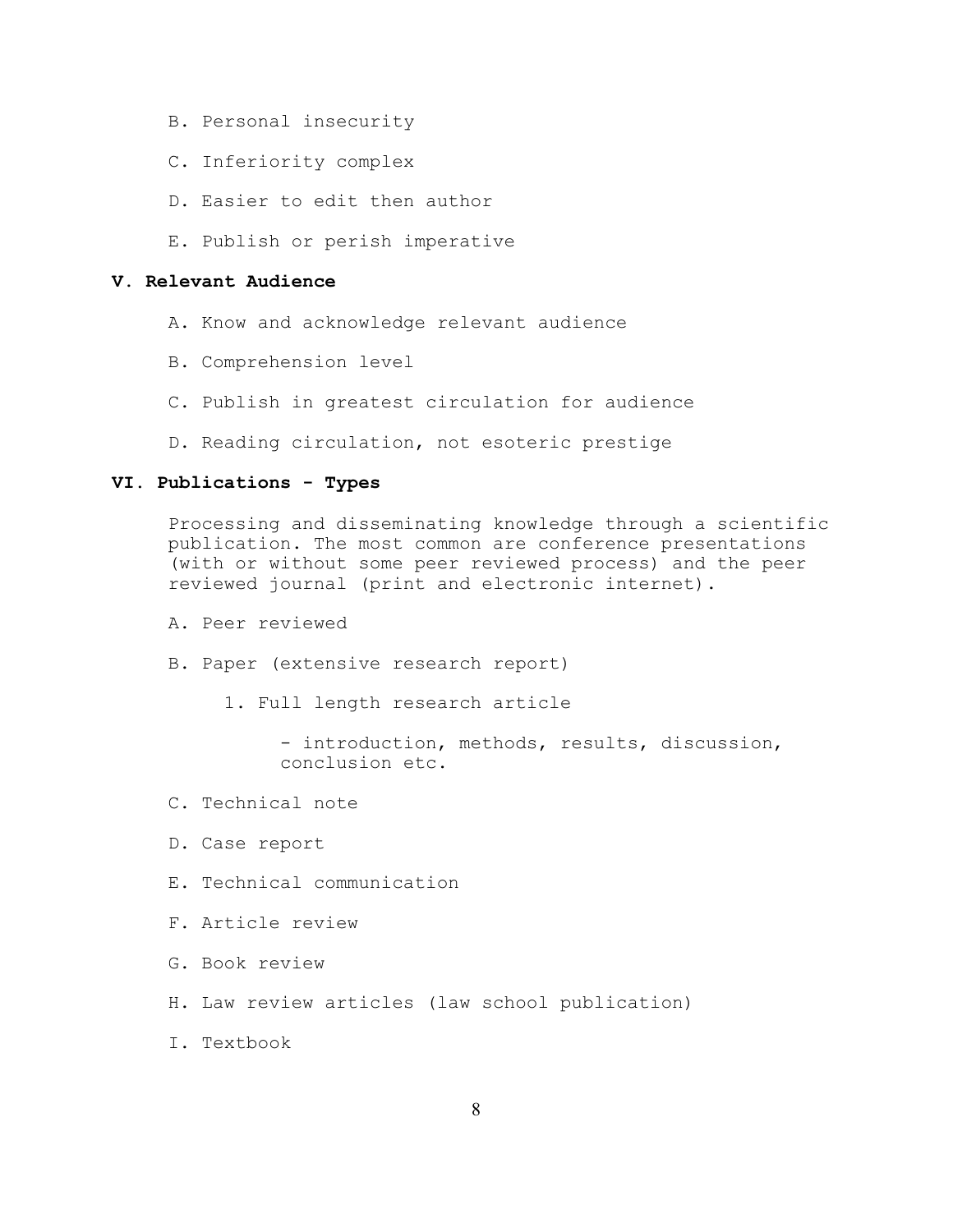- B. Personal insecurity
- C. Inferiority complex
- D. Easier to edit then author
- E. Publish or perish imperative

### **V. Relevant Audience**

- A. Know and acknowledge relevant audience
- B. Comprehension level
- C. Publish in greatest circulation for audience
- D. Reading circulation, not esoteric prestige

### **VI. Publications - Types**

Processing and disseminating knowledge through a scientific publication. The most common are conference presentations (with or without some peer reviewed process) and the peer reviewed journal (print and electronic internet).

- A. Peer reviewed
- B. Paper (extensive research report)
	- 1. Full length research article

```
- introduction, methods, results, discussion,
conclusion etc.
```
- C. Technical note
- D. Case report
- E. Technical communication
- F. Article review
- G. Book review
- H. Law review articles (law school publication)
- I. Textbook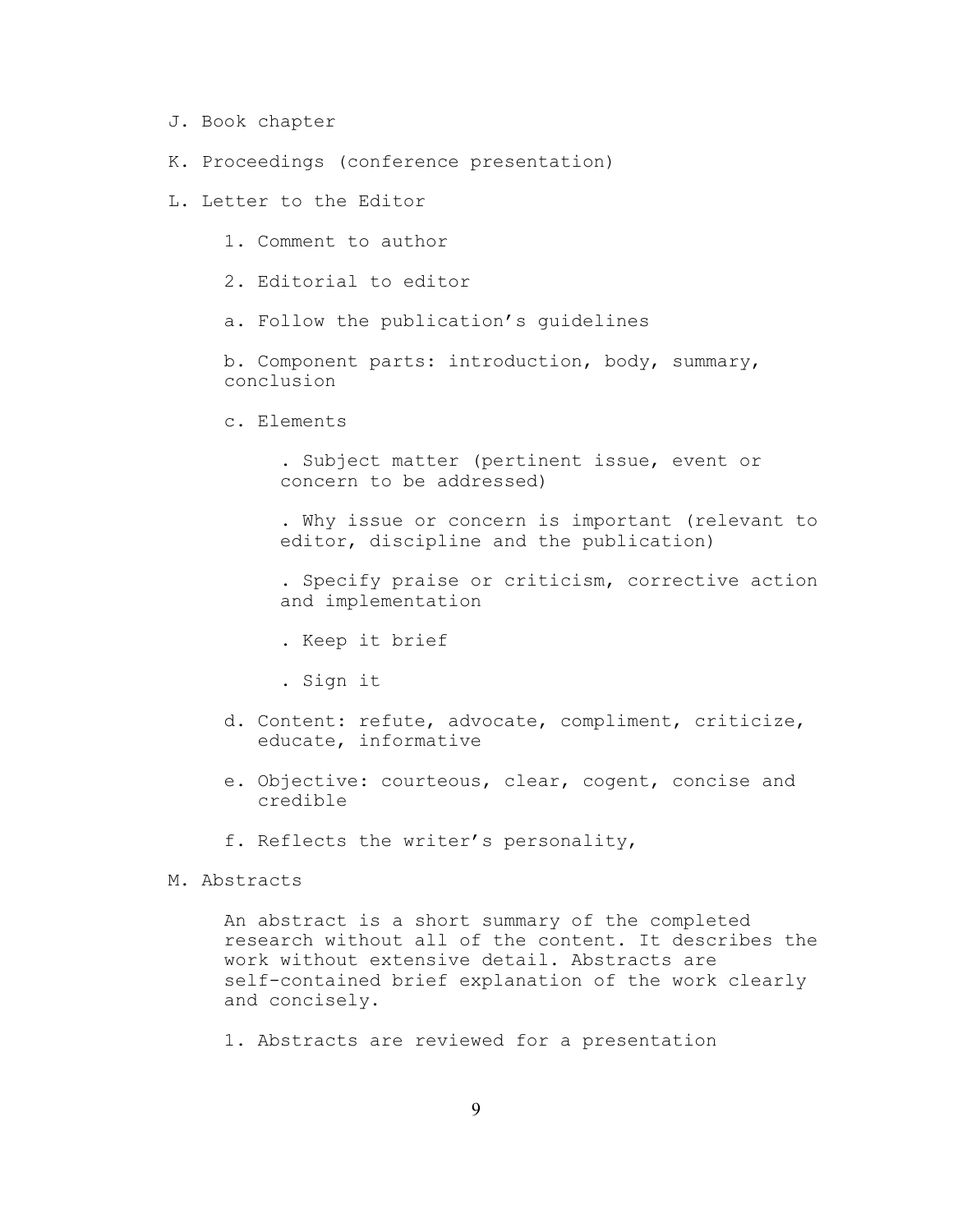- J. Book chapter
- K. Proceedings (conference presentation)
- L. Letter to the Editor
	- 1. Comment to author
	- 2. Editorial to editor
	- a. Follow the publication's guidelines

b. Component parts: introduction, body, summary, conclusion

c. Elements

. Subject matter (pertinent issue, event or concern to be addressed)

. Why issue or concern is important (relevant to editor, discipline and the publication)

. Specify praise or criticism, corrective action and implementation

- . Keep it brief
- . Sign it
- d. Content: refute, advocate, compliment, criticize, educate, informative
- e. Objective: courteous, clear, cogent, concise and credible
- f. Reflects the writer's personality,
- M. Abstracts

An abstract is a short summary of the completed research without all of the content. It describes the work without extensive detail. Abstracts are self-contained brief explanation of the work clearly and concisely.

1. Abstracts are reviewed for a presentation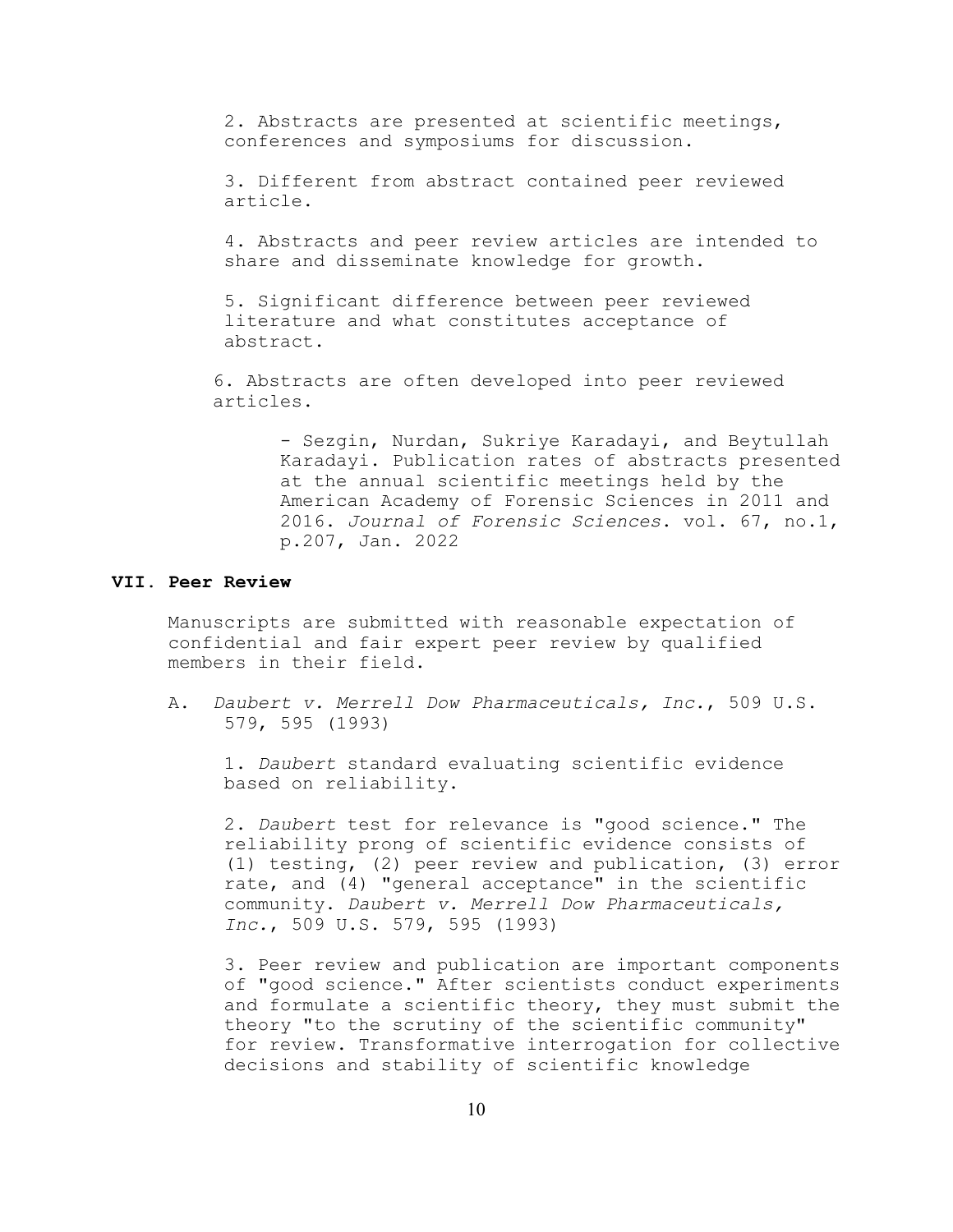2. Abstracts are presented at scientific meetings, conferences and symposiums for discussion.

3. Different from abstract contained peer reviewed article.

4. Abstracts and peer review articles are intended to share and disseminate knowledge for growth.

5. Significant difference between peer reviewed literature and what constitutes acceptance of abstract.

 6. Abstracts are often developed into peer reviewed articles.

> - Sezgin, Nurdan, Sukriye Karadayi, and Beytullah Karadayi. Publication rates of abstracts presented at the annual scientific meetings held by the American Academy of Forensic Sciences in 2011 and 2016. *Journal of Forensic Sciences*. vol. 67, no.1, p.207, Jan. 2022

### **VII. Peer Review**

Manuscripts are submitted with reasonable expectation of confidential and fair expert peer review by qualified members in their field.

A. *Daubert v. Merrell Dow Pharmaceuticals, Inc.*, 509 U.S. 579, 595 (1993)

1. *Daubert* standard evaluating scientific evidence based on reliability.

2. *Daubert* test for relevance is "good science." The reliability prong of scientific evidence consists of (1) testing, (2) peer review and publication, (3) error rate, and (4) "general acceptance" in the scientific community. *Daubert v. Merrell Dow Pharmaceuticals, Inc.*, 509 U.S. 579, 595 (1993)

3. Peer review and publication are important components of "good science." After scientists conduct experiments and formulate a scientific theory, they must submit the theory "to the scrutiny of the scientific community" for review. Transformative interrogation for collective decisions and stability of scientific knowledge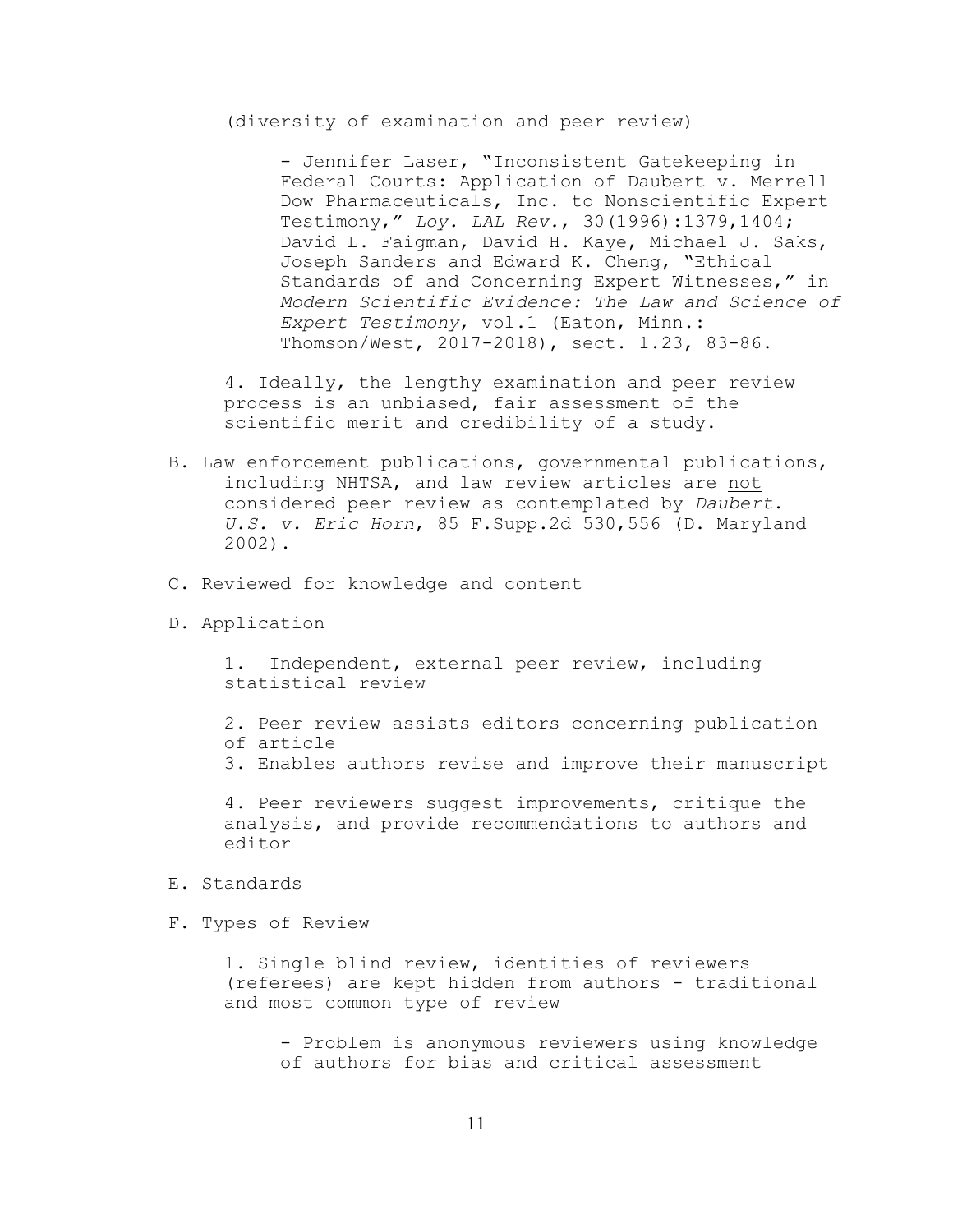(diversity of examination and peer review)

- Jennifer Laser, "Inconsistent Gatekeeping in Federal Courts: Application of Daubert v. Merrell Dow Pharmaceuticals, Inc. to Nonscientific Expert Testimony," *Loy. LAL Rev.*, 30(1996):1379,1404; David L. Faigman, David H. Kaye, Michael J. Saks, Joseph Sanders and Edward K. Cheng, "Ethical Standards of and Concerning Expert Witnesses," in *Modern Scientific Evidence: The Law and Science of Expert Testimony*, vol.1 (Eaton, Minn.: Thomson/West, 2017-2018), sect. 1.23, 83-86.

4. Ideally, the lengthy examination and peer review process is an unbiased, fair assessment of the scientific merit and credibility of a study.

- B. Law enforcement publications, governmental publications, including NHTSA, and law review articles are not considered peer review as contemplated by *Daubert*. *U.S. v. Eric Horn*, 85 F.Supp.2d 530,556 (D. Maryland 2002).
- C. Reviewed for knowledge and content
- D. Application

1. Independent, external peer review, including statistical review

2. Peer review assists editors concerning publication of article

3. Enables authors revise and improve their manuscript

4. Peer reviewers suggest improvements, critique the analysis, and provide recommendations to authors and editor

- E. Standards
- F. Types of Review

1. Single blind review, identities of reviewers (referees) are kept hidden from authors - traditional and most common type of review

- Problem is anonymous reviewers using knowledge of authors for bias and critical assessment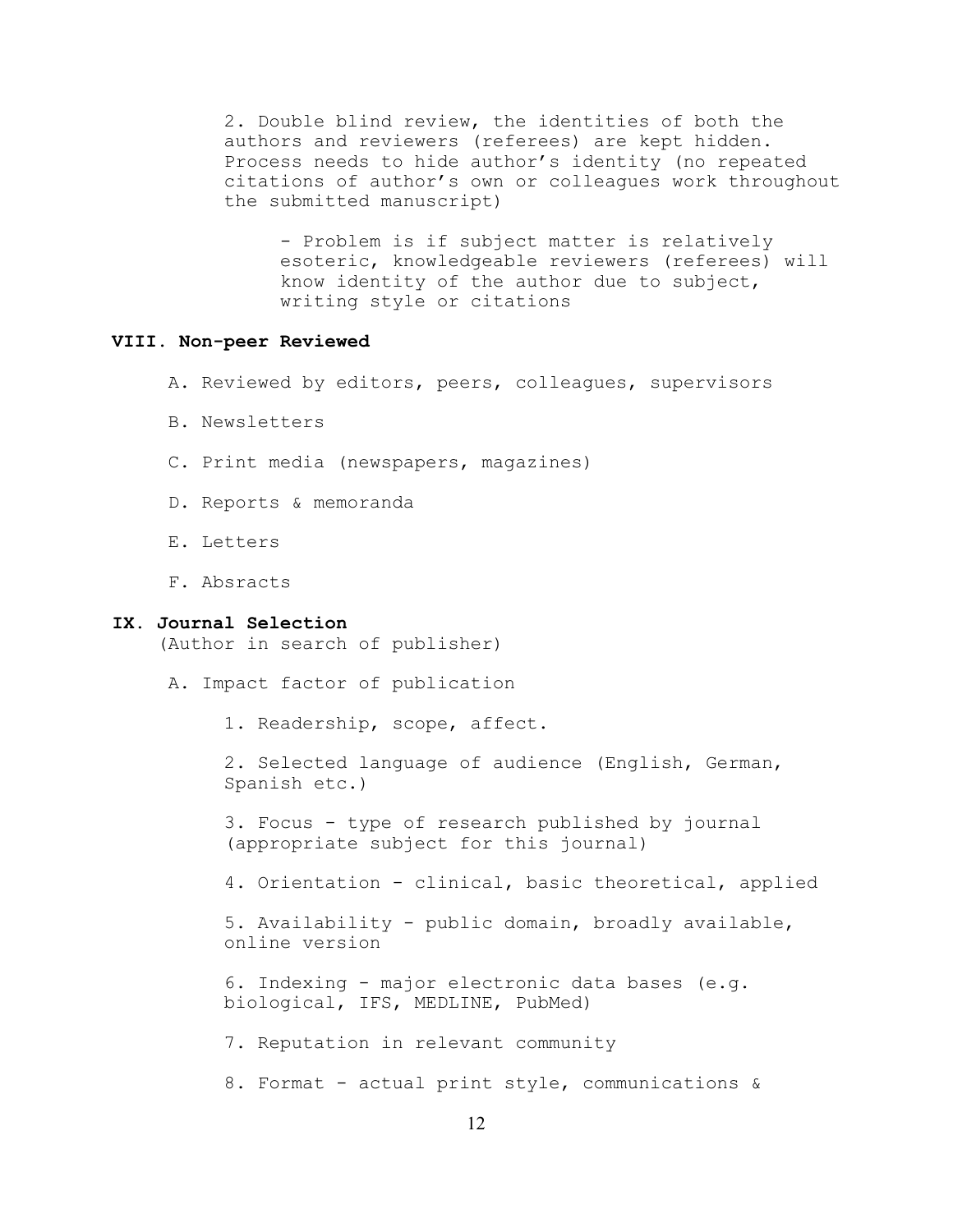2. Double blind review, the identities of both the authors and reviewers (referees) are kept hidden. Process needs to hide author's identity (no repeated citations of author's own or colleagues work throughout the submitted manuscript)

- Problem is if subject matter is relatively esoteric, knowledgeable reviewers (referees) will know identity of the author due to subject, writing style or citations

## **VIII. Non-peer Reviewed**

- A. Reviewed by editors, peers, colleagues, supervisors
- B. Newsletters
- C. Print media (newspapers, magazines)
- D. Reports & memoranda
- E. Letters
- F. Absracts

### **IX. Journal Selection**

(Author in search of publisher)

- A. Impact factor of publication
	- 1. Readership, scope, affect.

2. Selected language of audience (English, German, Spanish etc.)

3. Focus - type of research published by journal (appropriate subject for this journal)

4. Orientation - clinical, basic theoretical, applied

5. Availability - public domain, broadly available, online version

6. Indexing - major electronic data bases (e.g. biological, IFS, MEDLINE, PubMed)

7. Reputation in relevant community

8. Format - actual print style, communications &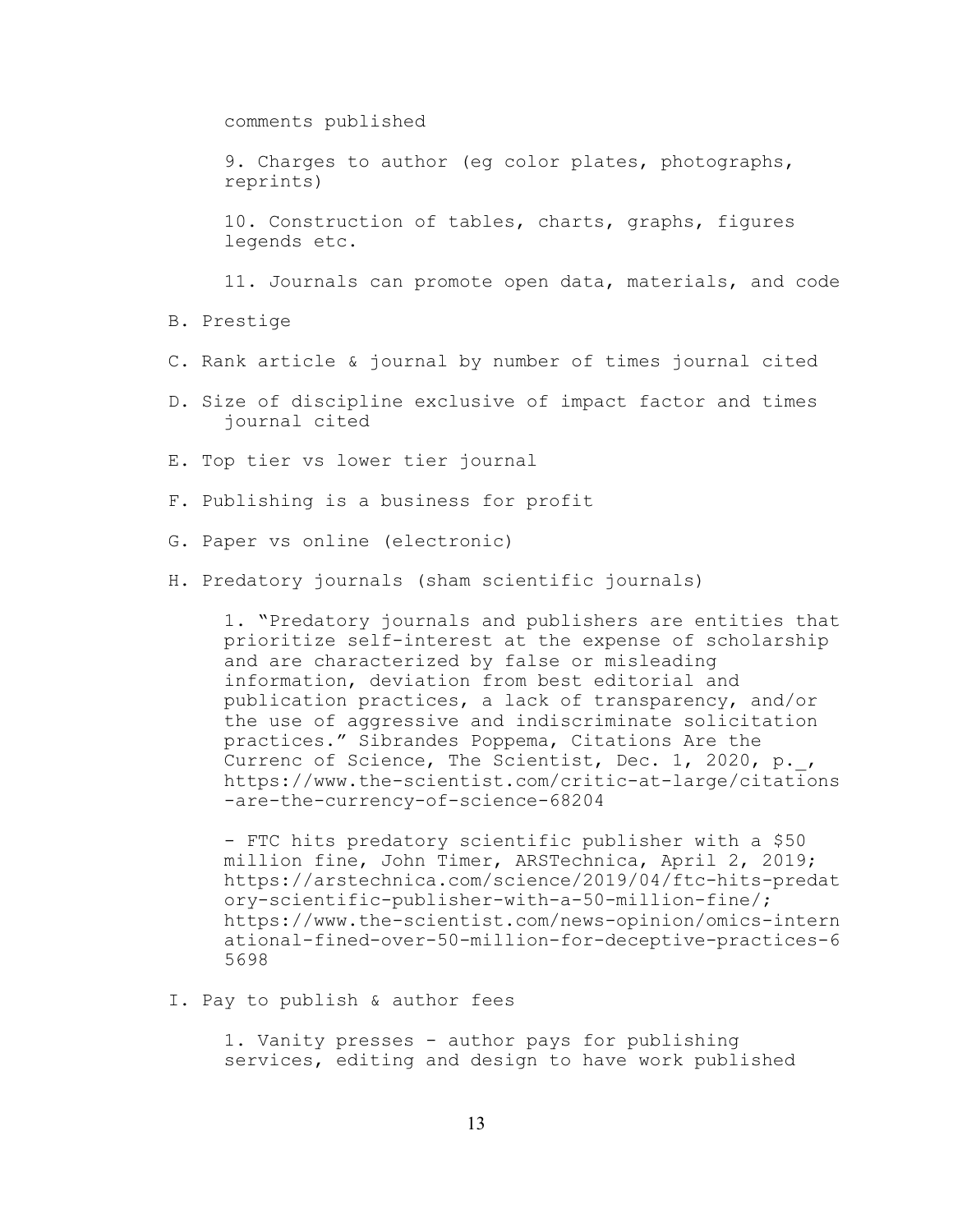comments published

9. Charges to author (eg color plates, photographs, reprints)

10. Construction of tables, charts, graphs, figures legends etc.

11. Journals can promote open data, materials, and code

- B. Prestige
- C. Rank article & journal by number of times journal cited
- D. Size of discipline exclusive of impact factor and times journal cited
- E. Top tier vs lower tier journal
- F. Publishing is a business for profit
- G. Paper vs online (electronic)
- H. Predatory journals (sham scientific journals)

1. "Predatory journals and publishers are entities that prioritize self-interest at the expense of scholarship and are characterized by false or misleading information, deviation from best editorial and publication practices, a lack of transparency, and/or the use of aggressive and indiscriminate solicitation practices." Sibrandes Poppema, Citations Are the Currenc of Science, The Scientist, Dec. 1, 2020, p.\_, https://www.the-scientist.com/critic-at-large/citations -are-the-currency-of-science-68204

- FTC hits predatory scientific publisher with a \$50 million fine, John Timer, ARSTechnica, April 2, 2019; https://arstechnica.com/science/2019/04/ftc-hits-predat ory-scientific-publisher-with-a-50-million-fine/; https://www.the-scientist.com/news-opinion/omics-intern ational-fined-over-50-million-for-deceptive-practices-6 5698

I. Pay to publish & author fees

1. Vanity presses - author pays for publishing services, editing and design to have work published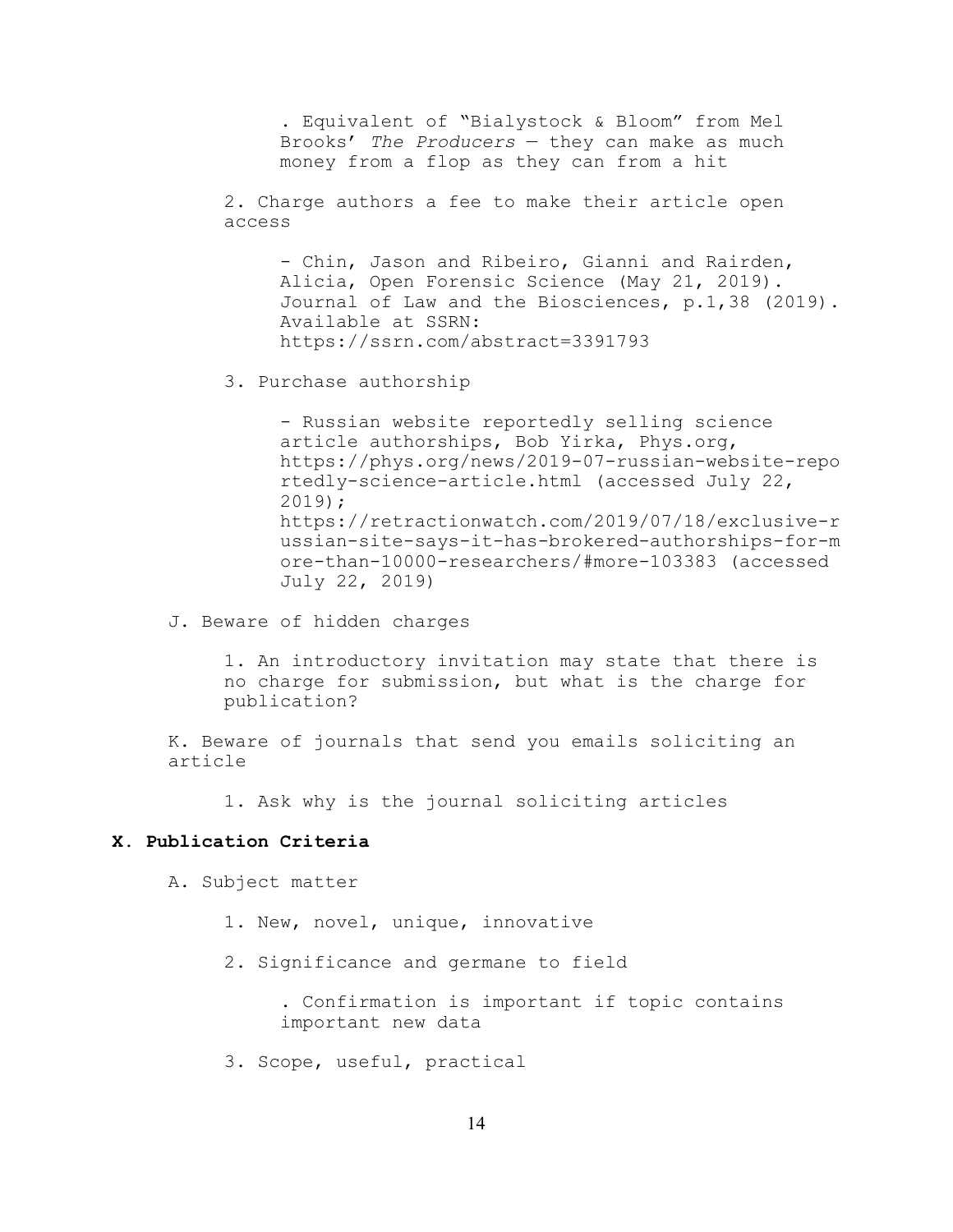. Equivalent of "Bialystock & Bloom" from Mel Brooks' *The Producers* — they can make as much money from a flop as they can from a hit

2. Charge authors a fee to make their article open access

- Chin, Jason and Ribeiro, Gianni and Rairden, Alicia, Open Forensic Science (May 21, 2019). Journal of Law and the Biosciences, p.1,38 (2019). Available at SSRN: https://ssrn.com/abstract=3391793

3. Purchase authorship

- Russian website reportedly selling science article authorships, Bob Yirka, Phys.org, https://phys.org/news/2019-07-russian-website-repo rtedly-science-article.html (accessed July 22, 2019); https://retractionwatch.com/2019/07/18/exclusive-r ussian-site-says-it-has-brokered-authorships-for-m ore-than-10000-researchers/#more-103383 (accessed July 22, 2019)

J. Beware of hidden charges

1. An introductory invitation may state that there is no charge for submission, but what is the charge for publication?

K. Beware of journals that send you emails soliciting an article

1. Ask why is the journal soliciting articles

### **X. Publication Criteria**

A. Subject matter

- 1. New, novel, unique, innovative
- 2. Significance and germane to field

. Confirmation is important if topic contains important new data

3. Scope, useful, practical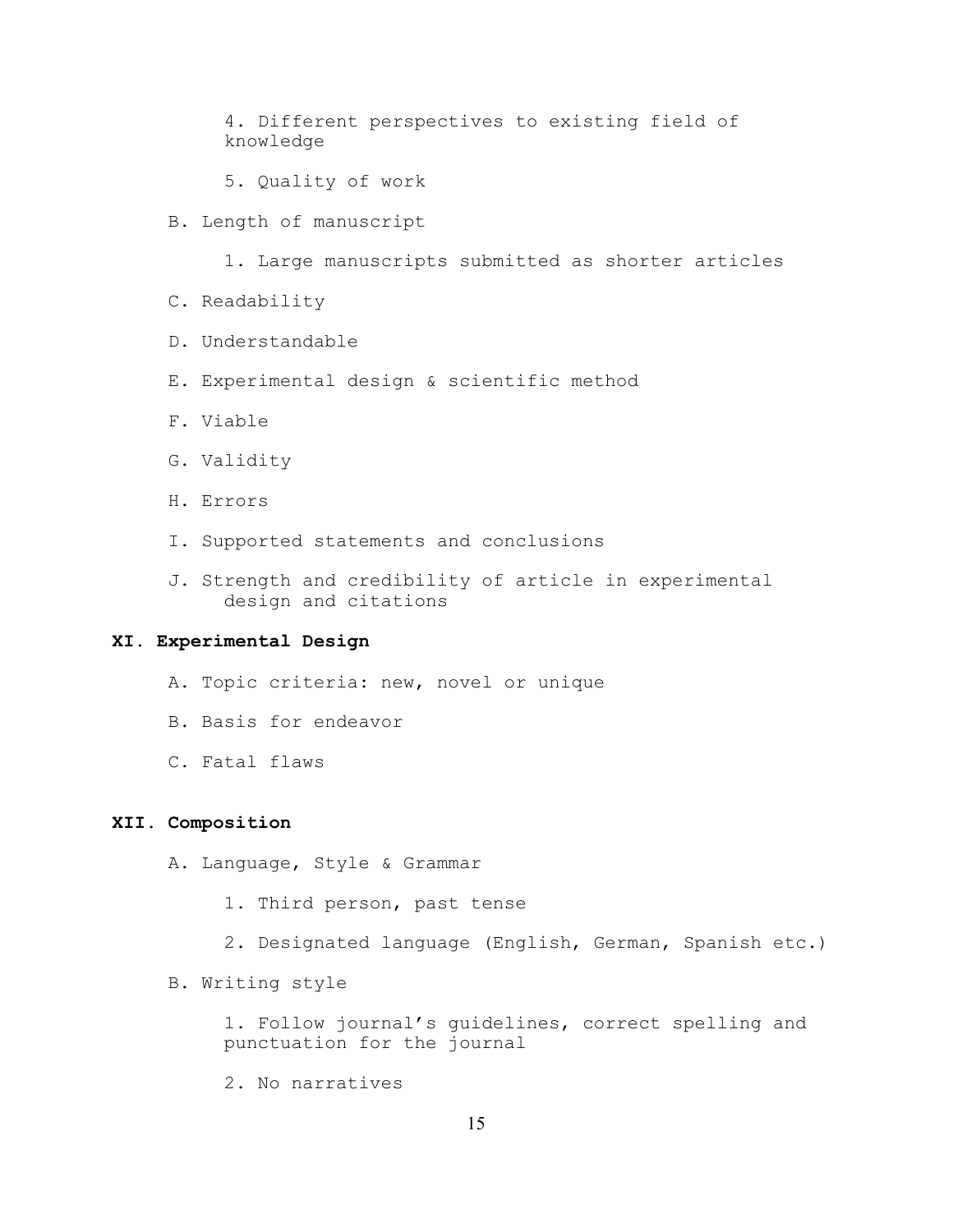4. Different perspectives to existing field of knowledge

5. Quality of work

B. Length of manuscript

1. Large manuscripts submitted as shorter articles

- C. Readability
- D. Understandable
- E. Experimental design & scientific method
- F. Viable
- G. Validity
- H. Errors
- I. Supported statements and conclusions
- J. Strength and credibility of article in experimental design and citations

### **XI. Experimental Design**

- A. Topic criteria: new, novel or unique
- B. Basis for endeavor
- C. Fatal flaws

### **XII. Composition**

A. Language, Style & Grammar

- 1. Third person, past tense
- 2. Designated language (English, German, Spanish etc.)
- B. Writing style

1. Follow journal's guidelines, correct spelling and punctuation for the journal

2. No narratives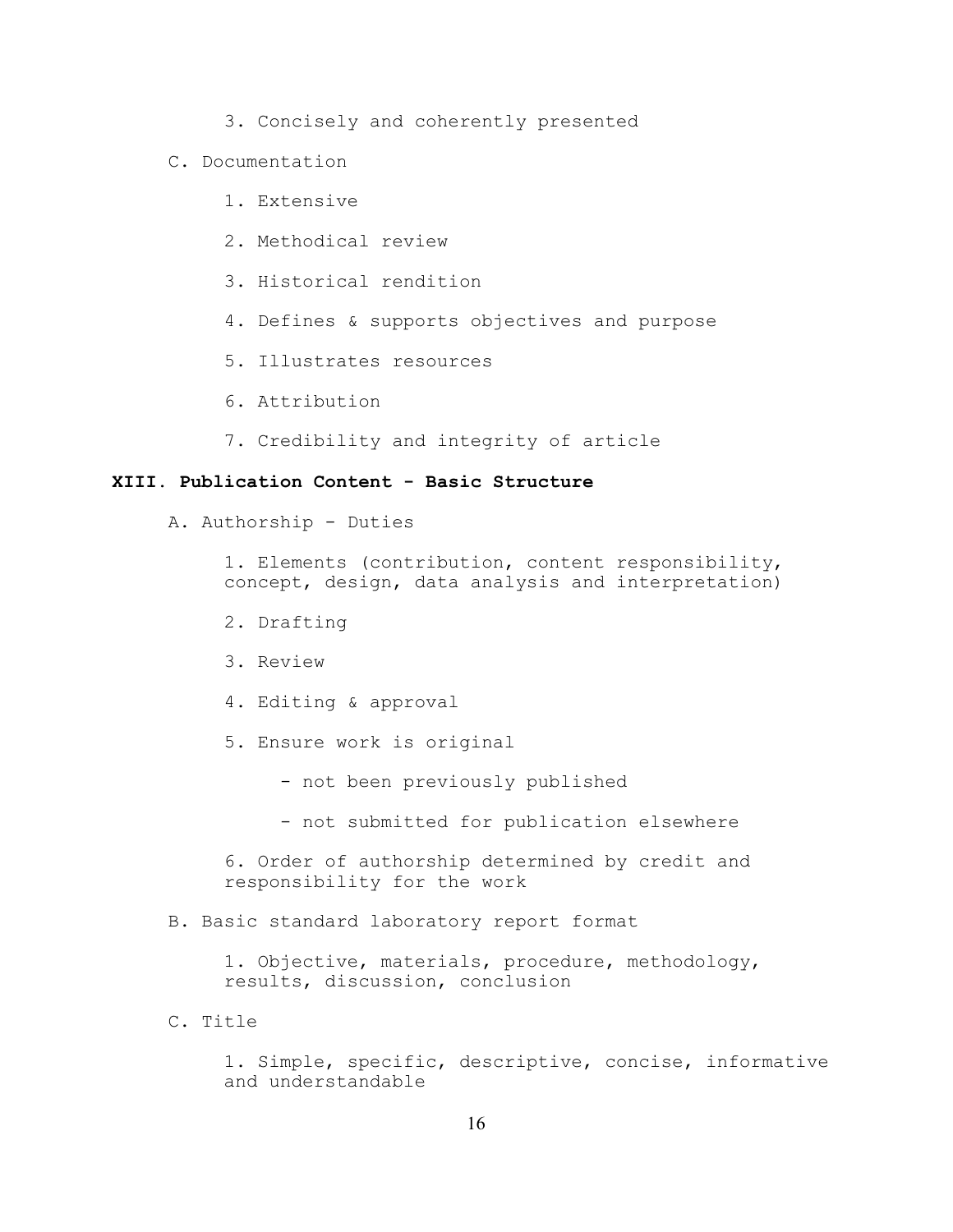- 3. Concisely and coherently presented
- C. Documentation
	- 1. Extensive
	- 2. Methodical review
	- 3. Historical rendition
	- 4. Defines & supports objectives and purpose
	- 5. Illustrates resources
	- 6. Attribution
	- 7. Credibility and integrity of article

## **XIII. Publication Content - Basic Structure**

A. Authorship - Duties

1. Elements (contribution, content responsibility, concept, design, data analysis and interpretation)

- 2. Drafting
- 3. Review
- 4. Editing & approval
- 5. Ensure work is original
	- not been previously published
	- not submitted for publication elsewhere

6. Order of authorship determined by credit and responsibility for the work

B. Basic standard laboratory report format

1. Objective, materials, procedure, methodology, results, discussion, conclusion

C. Title

1. Simple, specific, descriptive, concise, informative and understandable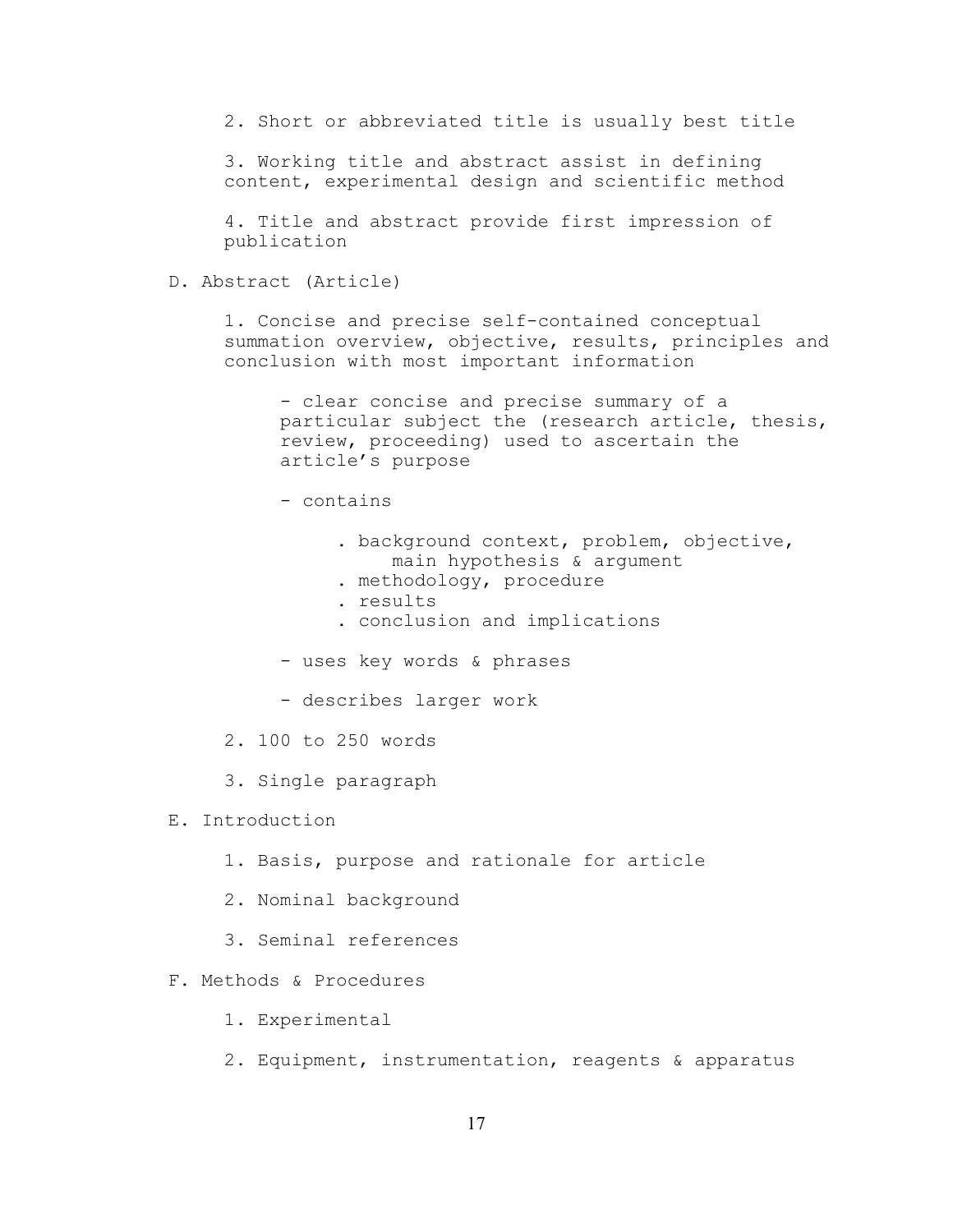2. Short or abbreviated title is usually best title

3. Working title and abstract assist in defining content, experimental design and scientific method

4. Title and abstract provide first impression of publication

D. Abstract (Article)

1. Concise and precise self-contained conceptual summation overview, objective, results, principles and conclusion with most important information

- clear concise and precise summary of a particular subject the (research article, thesis, review, proceeding) used to ascertain the article's purpose

- contains
	- . background context, problem, objective, main hypothesis & argument
	- . methodology, procedure
	- . results
	- . conclusion and implications
- uses key words & phrases
- describes larger work
- 2. 100 to 250 words
- 3. Single paragraph
- E. Introduction
	- 1. Basis, purpose and rationale for article
	- 2. Nominal background
	- 3. Seminal references
- F. Methods & Procedures
	- 1. Experimental
	- 2. Equipment, instrumentation, reagents & apparatus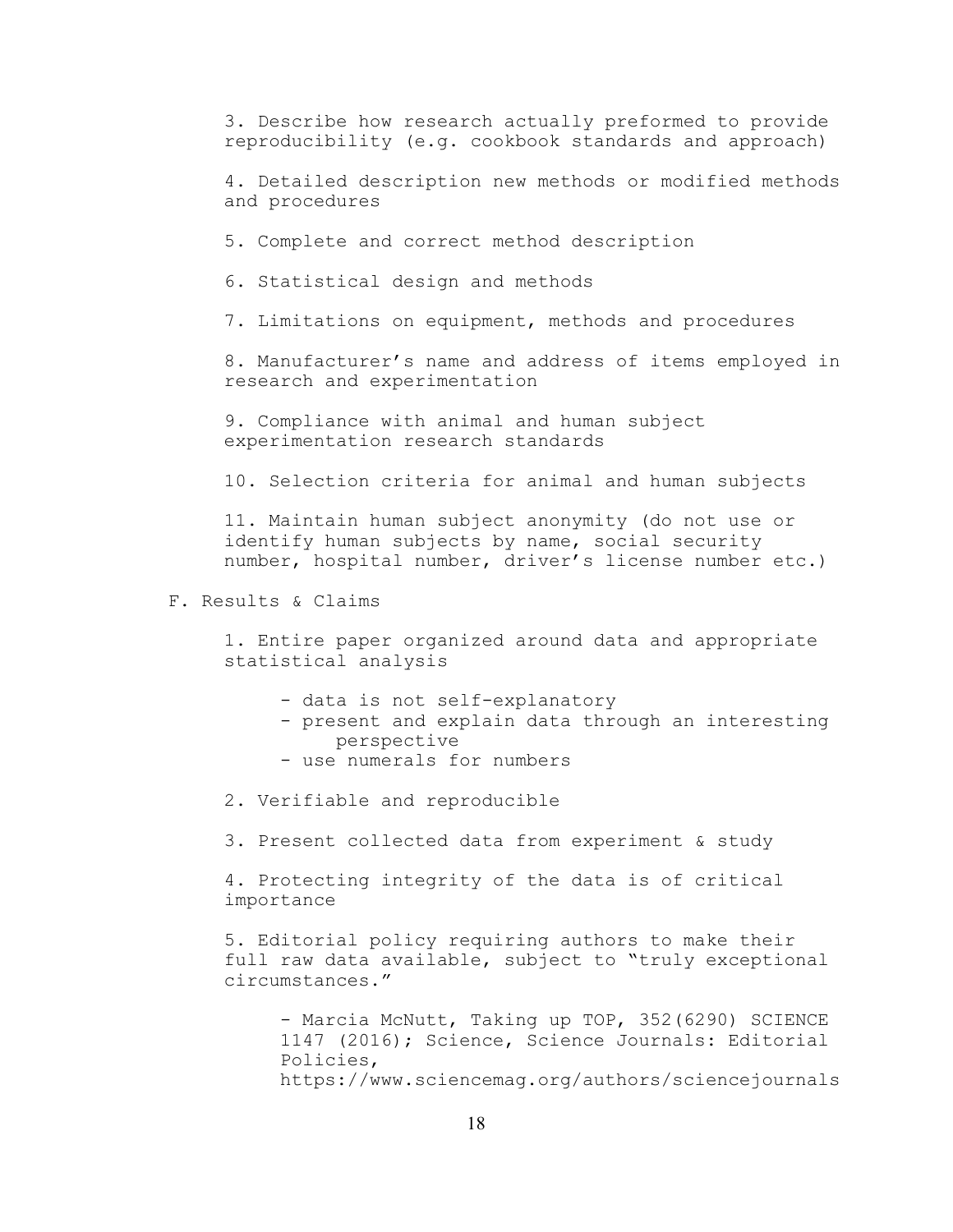3. Describe how research actually preformed to provide reproducibility (e.g. cookbook standards and approach)

4. Detailed description new methods or modified methods and procedures

5. Complete and correct method description

6. Statistical design and methods

7. Limitations on equipment, methods and procedures

8. Manufacturer's name and address of items employed in research and experimentation

9. Compliance with animal and human subject experimentation research standards

10. Selection criteria for animal and human subjects

11. Maintain human subject anonymity (do not use or identify human subjects by name, social security number, hospital number, driver's license number etc.)

F. Results & Claims

1. Entire paper organized around data and appropriate statistical analysis

- data is not self-explanatory
- present and explain data through an interesting perspective
- use numerals for numbers
- 2. Verifiable and reproducible

3. Present collected data from experiment & study

4. Protecting integrity of the data is of critical importance

5. Editorial policy requiring authors to make their full raw data available, subject to "truly exceptional circumstances."

- Marcia McNutt, Taking up TOP, 352 (6290) SCIENCE 1147 (2016); Science, Science Journals: Editorial Policies, https://www.sciencemag.org/authors/sciencejournals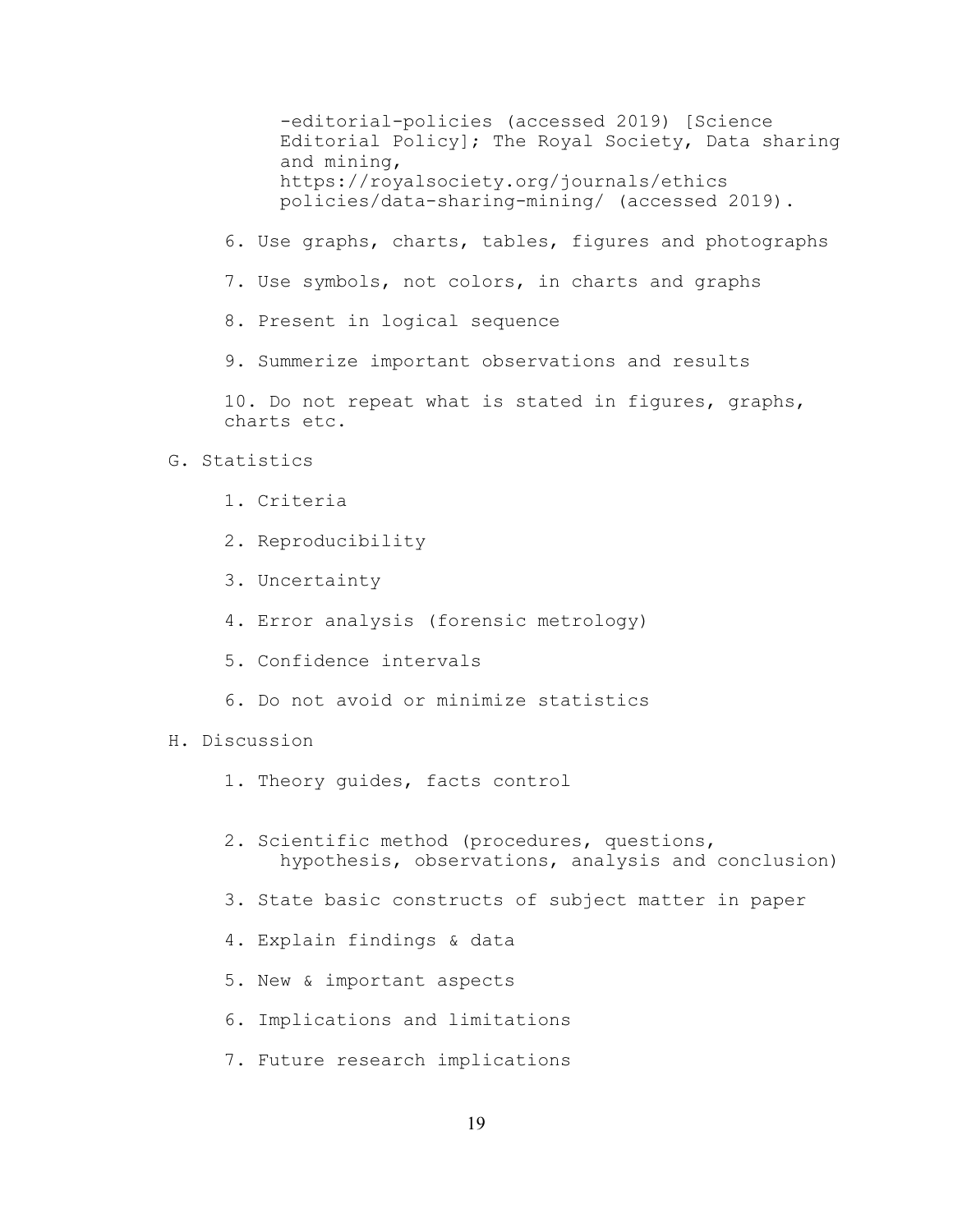-editorial-policies (accessed 2019) [Science Editorial Policy]; The Royal Society, Data sharing and mining, https://royalsociety.org/journals/ethics policies/data-sharing-mining/ (accessed 2019).

- 6. Use graphs, charts, tables, figures and photographs
- 7. Use symbols, not colors, in charts and graphs
- 8. Present in logical sequence

9. Summerize important observations and results

10. Do not repeat what is stated in figures, graphs, charts etc.

### G. Statistics

- 1. Criteria
- 2. Reproducibility
- 3. Uncertainty
- 4. Error analysis (forensic metrology)
- 5. Confidence intervals
- 6. Do not avoid or minimize statistics
- H. Discussion
	- 1. Theory guides, facts control
	- 2. Scientific method (procedures, questions, hypothesis, observations, analysis and conclusion)
	- 3. State basic constructs of subject matter in paper
	- 4. Explain findings & data
	- 5. New & important aspects
	- 6. Implications and limitations
	- 7. Future research implications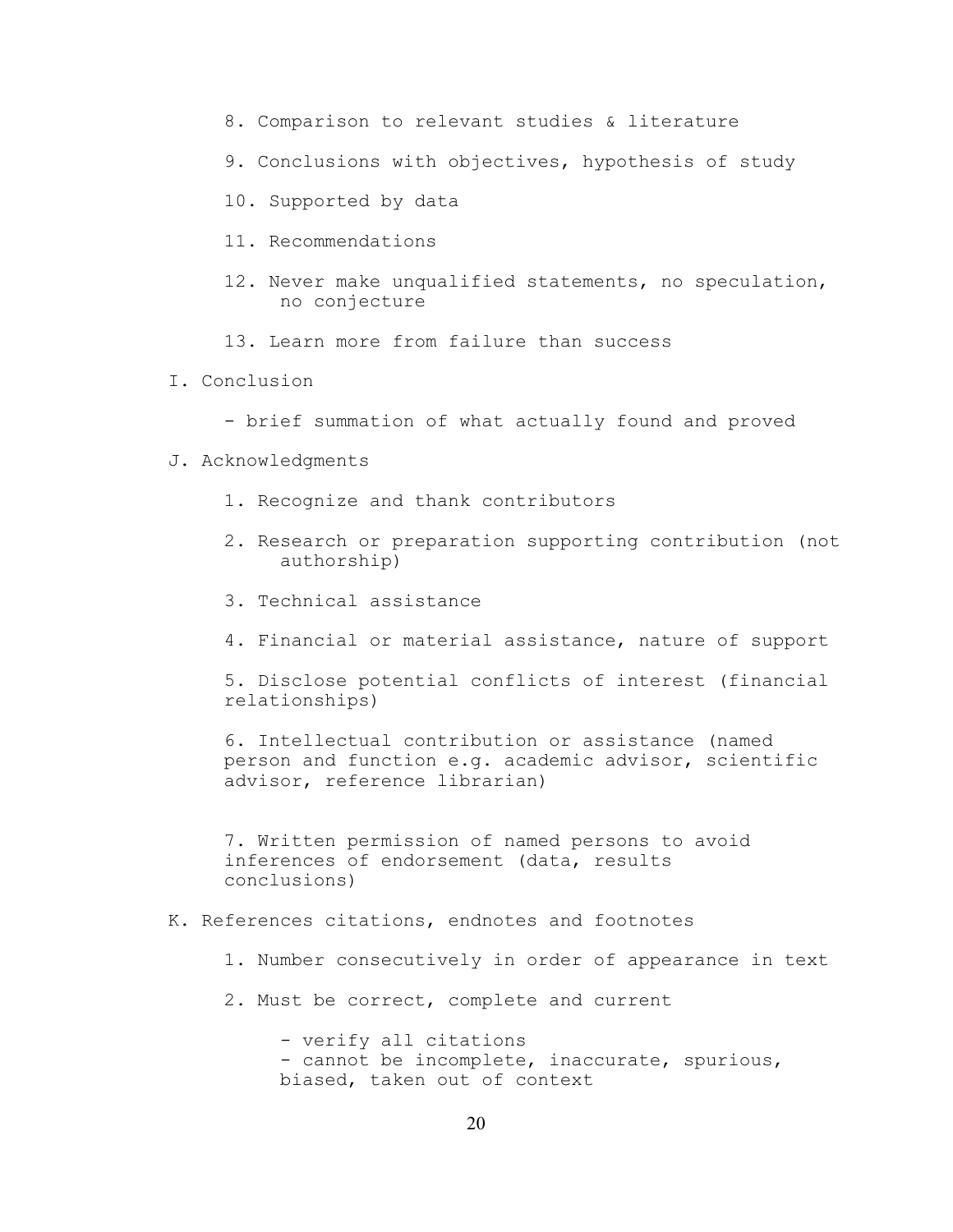- 8. Comparison to relevant studies & literature
- 9. Conclusions with objectives, hypothesis of study
- 10. Supported by data
- 11. Recommendations
- 12. Never make unqualified statements, no speculation, no conjecture
- 13. Learn more from failure than success
- I. Conclusion
	- brief summation of what actually found and proved
- J. Acknowledgments
	- 1. Recognize and thank contributors
	- 2. Research or preparation supporting contribution (not authorship)
	- 3. Technical assistance
	- 4. Financial or material assistance, nature of support

5. Disclose potential conflicts of interest (financial relationships)

6. Intellectual contribution or assistance (named person and function e.g. academic advisor, scientific advisor, reference librarian)

7. Written permission of named persons to avoid inferences of endorsement (data, results conclusions)

- K. References citations, endnotes and footnotes
	- 1. Number consecutively in order of appearance in text
	- 2. Must be correct, complete and current

- verify all citations - cannot be incomplete, inaccurate, spurious, biased, taken out of context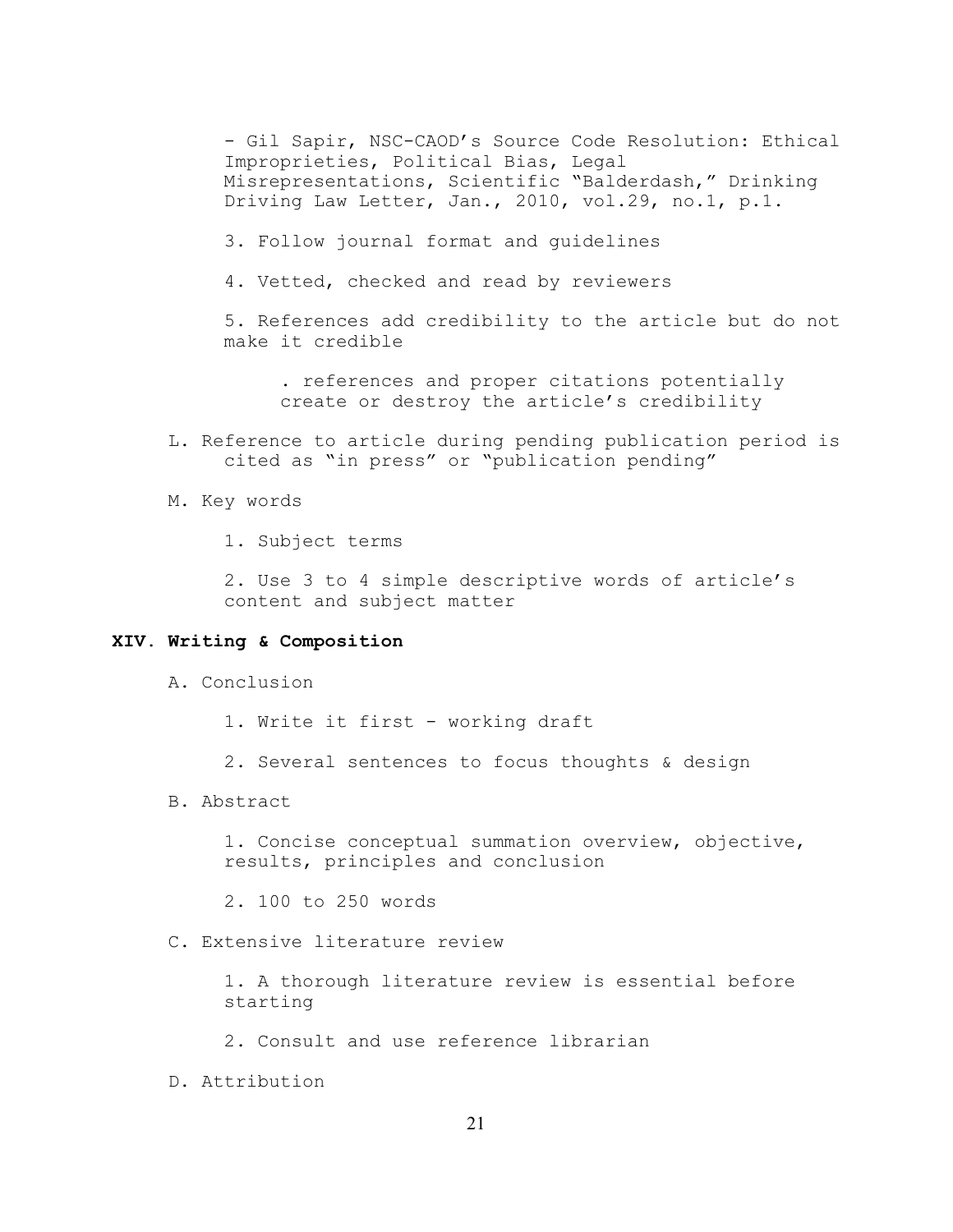- Gil Sapir, NSC-CAOD's Source Code Resolution: Ethical Improprieties, Political Bias, Legal Misrepresentations, Scientific "Balderdash," Drinking Driving Law Letter, Jan., 2010, vol.29, no.1, p.1.

- 3. Follow journal format and guidelines
- 4. Vetted, checked and read by reviewers

5. References add credibility to the article but do not make it credible

. references and proper citations potentially create or destroy the article's credibility

- L. Reference to article during pending publication period is cited as "in press" or "publication pending"
- M. Key words

1. Subject terms

2. Use 3 to 4 simple descriptive words of article's content and subject matter

## **XIV. Writing & Composition**

- A. Conclusion
	- 1. Write it first working draft
	- 2. Several sentences to focus thoughts & design
- B. Abstract

1. Concise conceptual summation overview, objective, results, principles and conclusion

2. 100 to 250 words

C. Extensive literature review

1. A thorough literature review is essential before starting

- 2. Consult and use reference librarian
- D. Attribution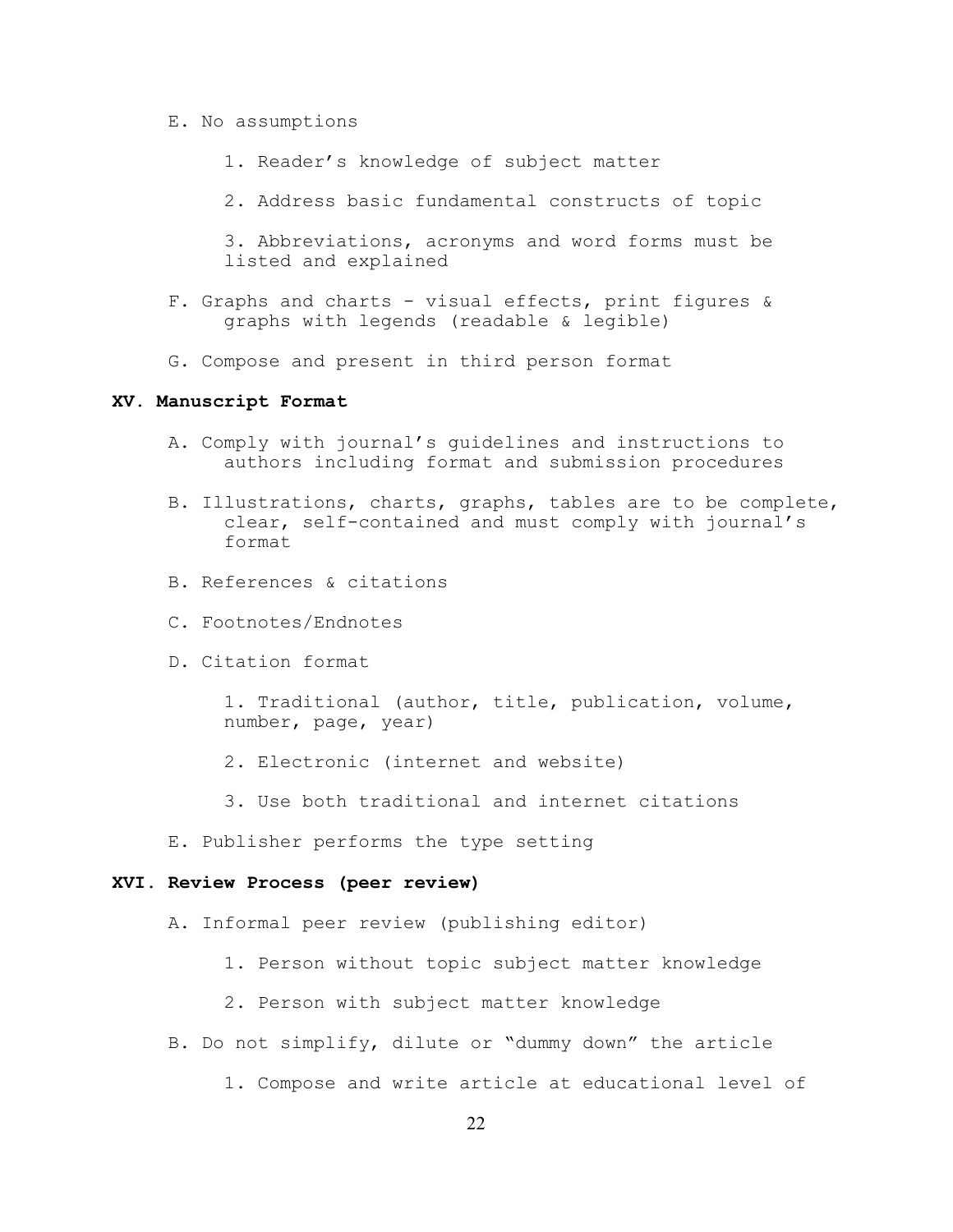- E. No assumptions
	- 1. Reader's knowledge of subject matter
	- 2. Address basic fundamental constructs of topic

3. Abbreviations, acronyms and word forms must be listed and explained

- F. Graphs and charts visual effects, print figures & graphs with legends (readable & legible)
- G. Compose and present in third person format

#### **XV. Manuscript Format**

- A. Comply with journal's guidelines and instructions to authors including format and submission procedures
- B. Illustrations, charts, graphs, tables are to be complete, clear, self-contained and must comply with journal's format
- B. References & citations
- C. Footnotes/Endnotes
- D. Citation format

1. Traditional (author, title, publication, volume, number, page, year)

- 2. Electronic (internet and website)
- 3. Use both traditional and internet citations
- E. Publisher performs the type setting

#### **XVI. Review Process (peer review)**

- A. Informal peer review (publishing editor)
	- 1. Person without topic subject matter knowledge
	- 2. Person with subject matter knowledge
- B. Do not simplify, dilute or "dummy down" the article
	- 1. Compose and write article at educational level of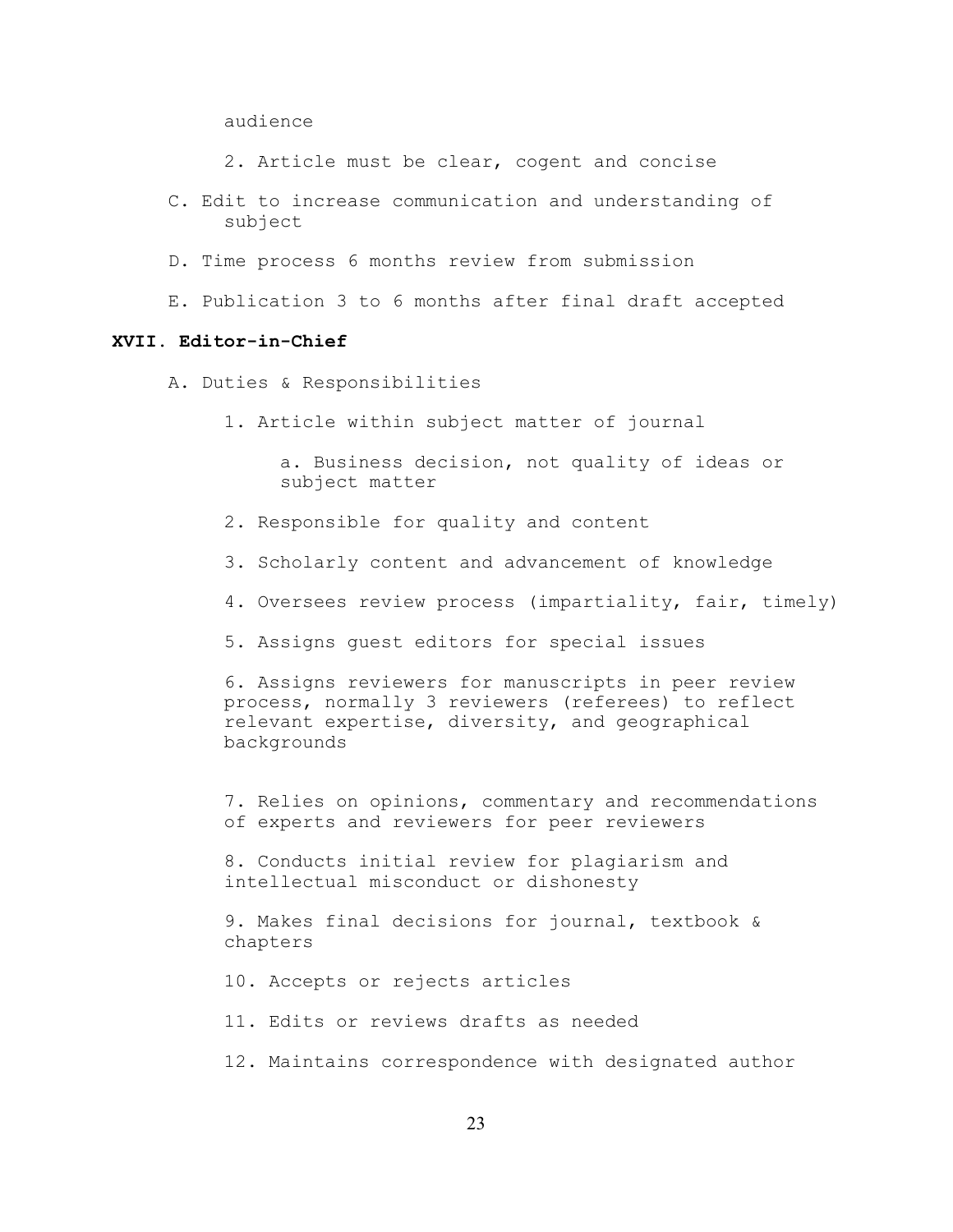audience

2. Article must be clear, cogent and concise

- C. Edit to increase communication and understanding of subject
- D. Time process 6 months review from submission
- E. Publication 3 to 6 months after final draft accepted

## **XVII. Editor-in-Chief**

- A. Duties & Responsibilities
	- 1. Article within subject matter of journal

a. Business decision, not quality of ideas or subject matter

- 2. Responsible for quality and content
- 3. Scholarly content and advancement of knowledge
- 4. Oversees review process (impartiality, fair, timely)
- 5. Assigns guest editors for special issues

6. Assigns reviewers for manuscripts in peer review process, normally 3 reviewers (referees) to reflect relevant expertise, diversity, and geographical backgrounds

7. Relies on opinions, commentary and recommendations of experts and reviewers for peer reviewers

8. Conducts initial review for plagiarism and intellectual misconduct or dishonesty

9. Makes final decisions for journal, textbook & chapters

10. Accepts or rejects articles

11. Edits or reviews drafts as needed

12. Maintains correspondence with designated author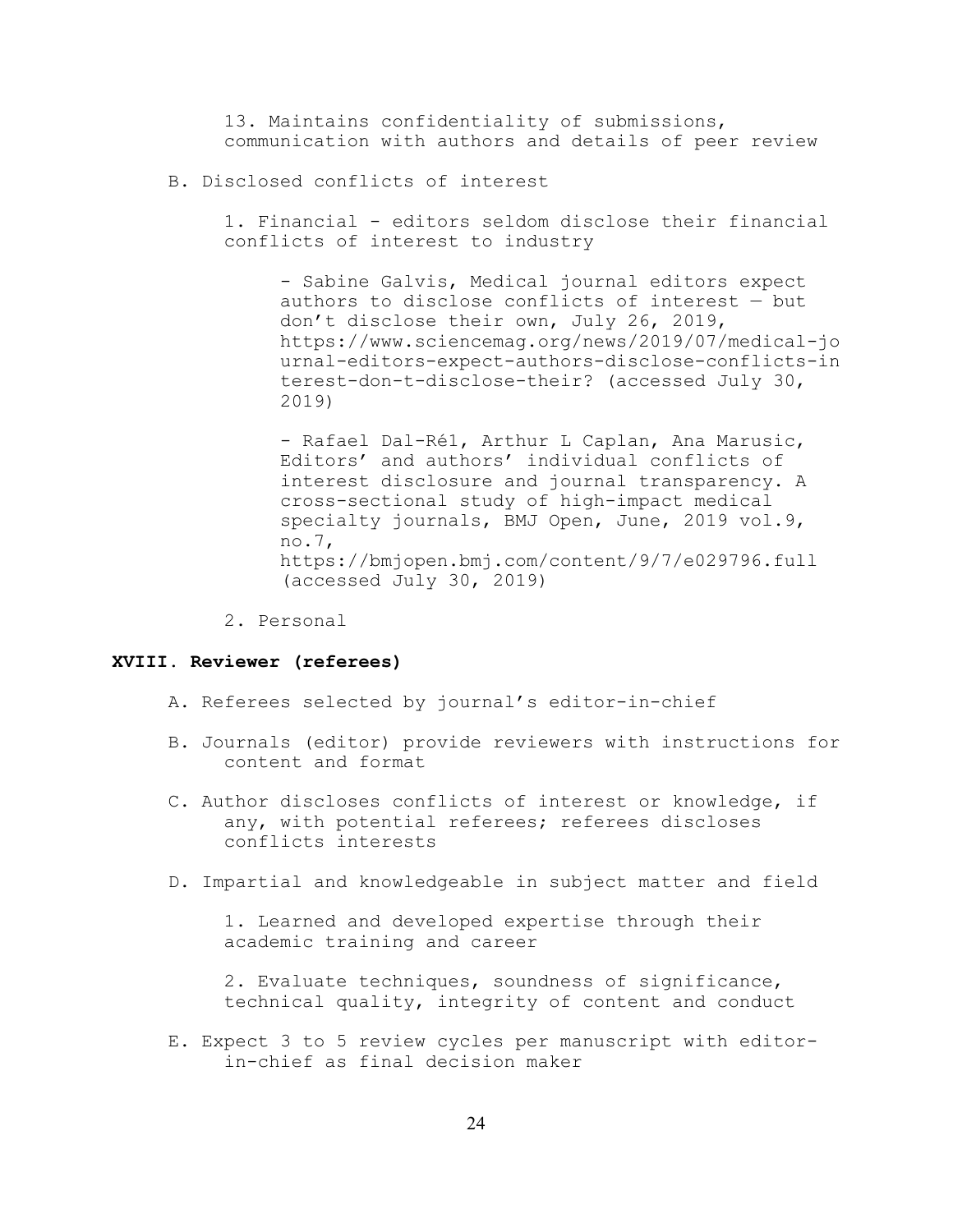13. Maintains confidentiality of submissions, communication with authors and details of peer review

B. Disclosed conflicts of interest

1. Financial - editors seldom disclose their financial conflicts of interest to industry

- Sabine Galvis, Medical journal editors expect authors to disclose conflicts of interest — but don't disclose their own, July 26, 2019, https://www.sciencemag.org/news/2019/07/medical-jo urnal-editors-expect-authors-disclose-conflicts-in terest-don-t-disclose-their? (accessed July 30, 2019)

- Rafael Dal-Ré1, Arthur L Caplan, Ana Marusic, Editors' and authors' individual conflicts of interest disclosure and journal transparency. A cross-sectional study of high-impact medical specialty journals, BMJ Open, June, 2019 vol.9, no.7, https://bmjopen.bmj.com/content/9/7/e029796.full (accessed July 30, 2019)

2. Personal

### **XVIII. Reviewer (referees)**

- A. Referees selected by journal's editor-in-chief
- B. Journals (editor) provide reviewers with instructions for content and format
- C. Author discloses conflicts of interest or knowledge, if any, with potential referees; referees discloses conflicts interests
- D. Impartial and knowledgeable in subject matter and field

1. Learned and developed expertise through their academic training and career

2. Evaluate techniques, soundness of significance, technical quality, integrity of content and conduct

E. Expect 3 to 5 review cycles per manuscript with editorin-chief as final decision maker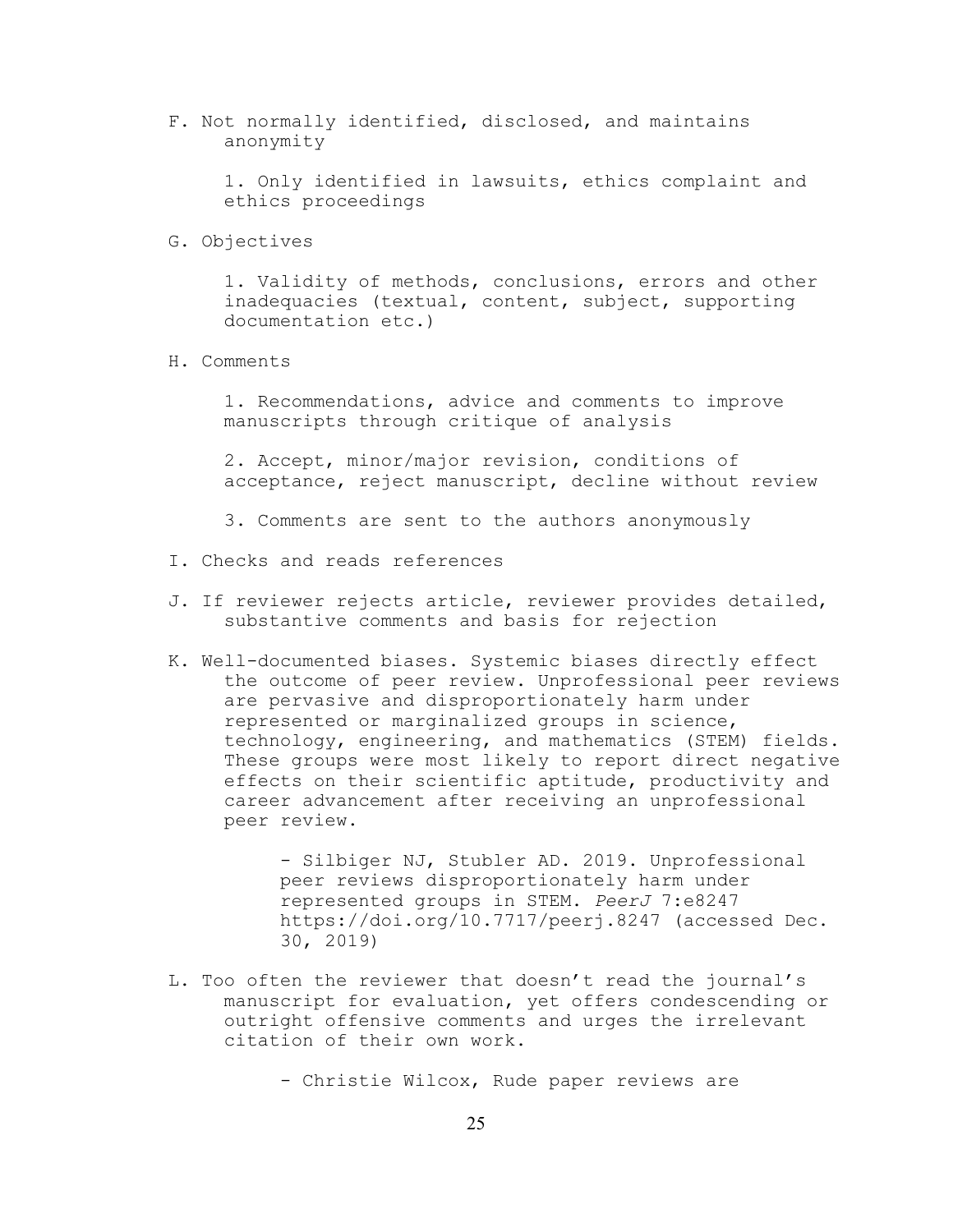F. Not normally identified, disclosed, and maintains anonymity

1. Only identified in lawsuits, ethics complaint and ethics proceedings

G. Objectives

1. Validity of methods, conclusions, errors and other inadequacies (textual, content, subject, supporting documentation etc.)

H. Comments

1. Recommendations, advice and comments to improve manuscripts through critique of analysis

2. Accept, minor/major revision, conditions of acceptance, reject manuscript, decline without review

- 3. Comments are sent to the authors anonymously
- I. Checks and reads references
- J. If reviewer rejects article, reviewer provides detailed, substantive comments and basis for rejection
- K. Well-documented biases. Systemic biases directly effect the outcome of peer review. Unprofessional peer reviews are pervasive and disproportionately harm under represented or marginalized groups in science, technology, engineering, and mathematics (STEM) fields. These groups were most likely to report direct negative effects on their scientific aptitude, productivity and career advancement after receiving an unprofessional peer review.

- Silbiger NJ, Stubler AD. 2019. Unprofessional peer reviews disproportionately harm under represented groups in STEM. *PeerJ* 7:e8247 https://doi.org/10.7717/peerj.8247 (accessed Dec. 30, 2019)

L. Too often the reviewer that doesn't read the journal's manuscript for evaluation, yet offers condescending or outright offensive comments and urges the irrelevant citation of their own work.

- Christie Wilcox, Rude paper reviews are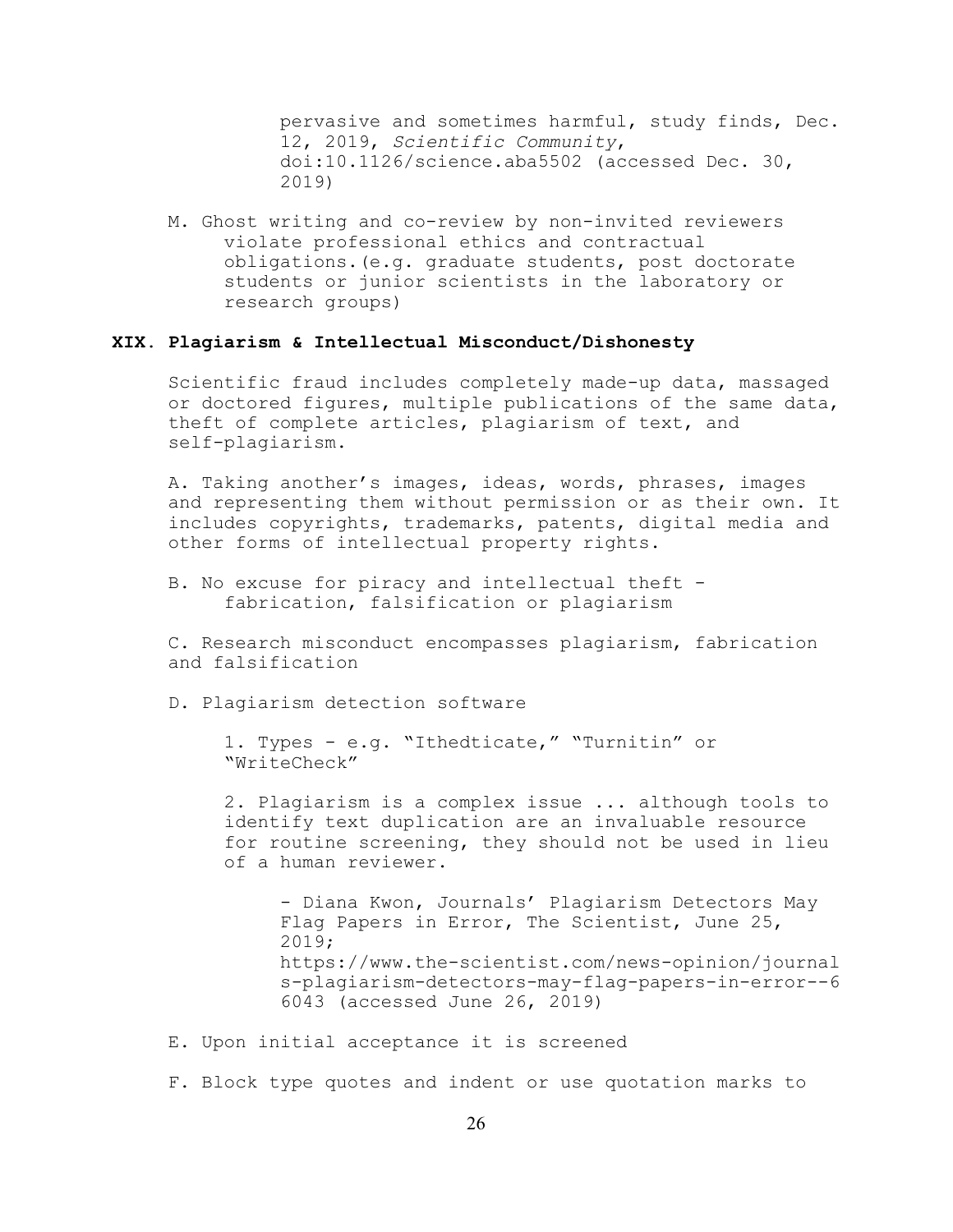pervasive and sometimes harmful, study finds, Dec. 12, 2019, *Scientific Community*, doi:10.1126/science.aba5502 (accessed Dec. 30, 2019)

M. Ghost writing and co-review by non-invited reviewers violate professional ethics and contractual obligations.(e.g. graduate students, post doctorate students or junior scientists in the laboratory or research groups)

## **XIX. Plagiarism & Intellectual Misconduct/Dishonesty**

Scientific fraud includes completely made-up data, massaged or doctored figures, multiple publications of the same data, theft of complete articles, plagiarism of text, and self-plagiarism.

A. Taking another's images, ideas, words, phrases, images and representing them without permission or as their own. It includes copyrights, trademarks, patents, digital media and other forms of intellectual property rights.

B. No excuse for piracy and intellectual theft fabrication, falsification or plagiarism

C. Research misconduct encompasses plagiarism, fabrication and falsification

D. Plagiarism detection software

1. Types - e.g. "Ithedticate," "Turnitin" or "WriteCheck"

2. Plagiarism is a complex issue ... although tools to identify text duplication are an invaluable resource for routine screening, they should not be used in lieu of a human reviewer.

- Diana Kwon, Journals' Plagiarism Detectors May Flag Papers in Error, The Scientist, June 25, 2019; https://www.the-scientist.com/news-opinion/journal s-plagiarism-detectors-may-flag-papers-in-error--6 6043 (accessed June 26, 2019)

- E. Upon initial acceptance it is screened
- F. Block type quotes and indent or use quotation marks to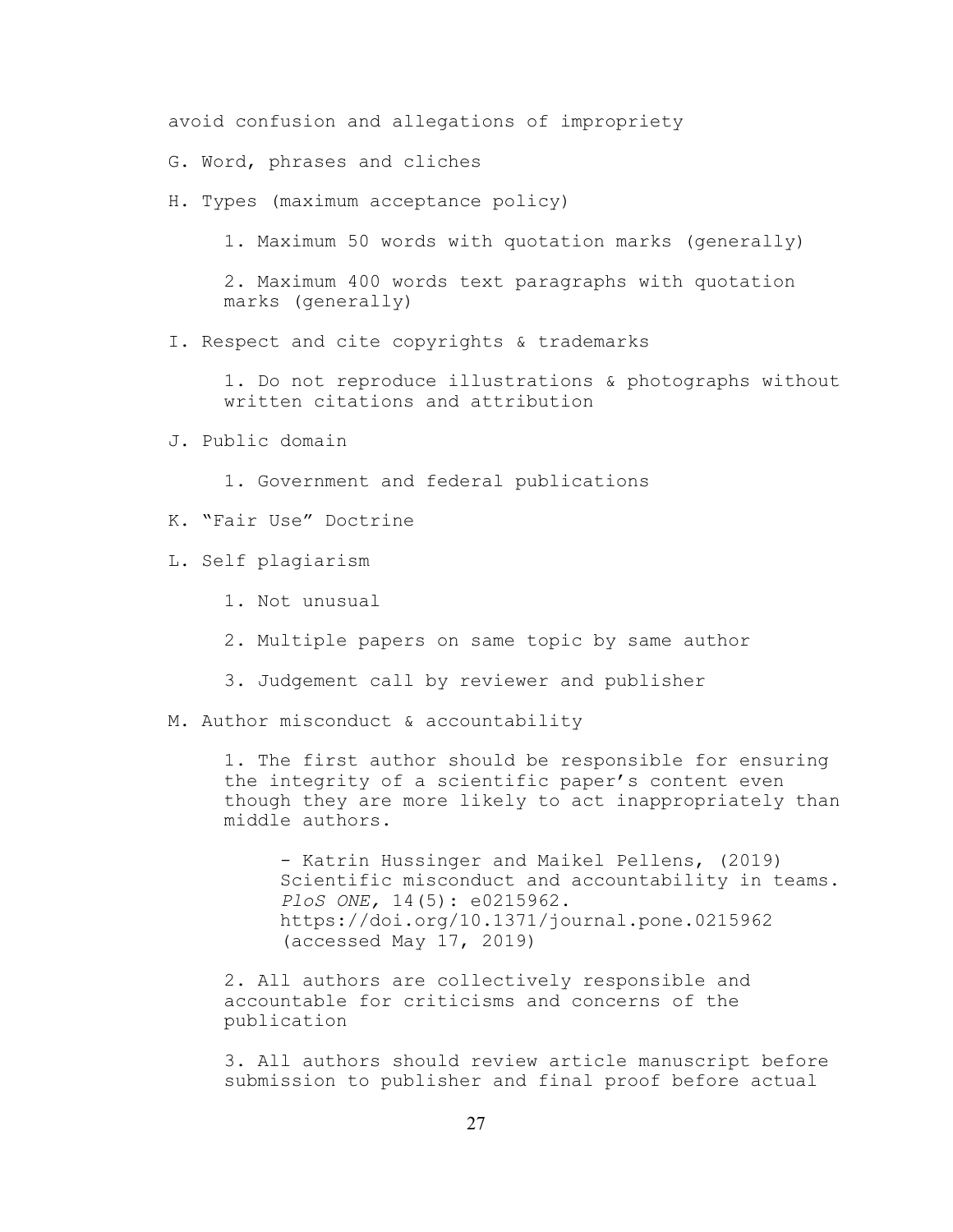avoid confusion and allegations of impropriety

- G. Word, phrases and cliches
- H. Types (maximum acceptance policy)

1. Maximum 50 words with quotation marks (generally)

2. Maximum 400 words text paragraphs with quotation marks (generally)

I. Respect and cite copyrights & trademarks

1. Do not reproduce illustrations & photographs without written citations and attribution

- J. Public domain
	- 1. Government and federal publications
- K. "Fair Use" Doctrine
- L. Self plagiarism
	- 1. Not unusual
	- 2. Multiple papers on same topic by same author
	- 3. Judgement call by reviewer and publisher
- M. Author misconduct & accountability

1. The first author should be responsible for ensuring the integrity of a scientific paper's content even though they are more likely to act inappropriately than middle authors.

- Katrin Hussinger and Maikel Pellens, (2019) Scientific misconduct and accountability in teams. *PloS ONE,* 14(5): e0215962. https://doi.org/10.1371/journal.pone.0215962 (accessed May 17, 2019)

2. All authors are collectively responsible and accountable for criticisms and concerns of the publication

3. All authors should review article manuscript before submission to publisher and final proof before actual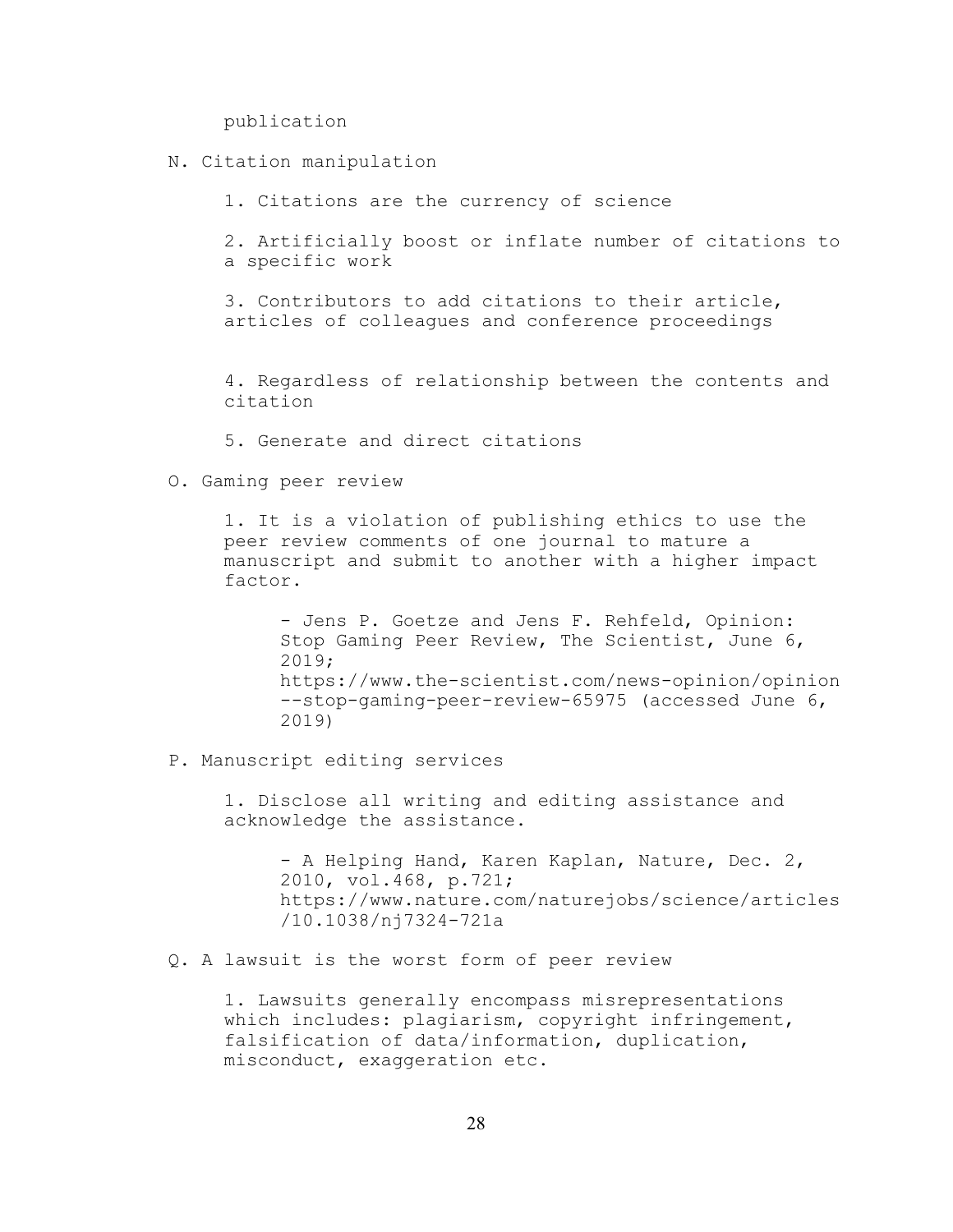publication

N. Citation manipulation

1. Citations are the currency of science

2. Artificially boost or inflate number of citations to a specific work

3. Contributors to add citations to their article, articles of colleagues and conference proceedings

4. Regardless of relationship between the contents and citation

- 5. Generate and direct citations
- O. Gaming peer review

1. It is a violation of publishing ethics to use the peer review comments of one journal to mature a manuscript and submit to another with a higher impact factor.

- Jens P. Goetze and Jens F. Rehfeld, Opinion: Stop Gaming Peer Review, The Scientist, June 6, 2019; https://www.the-scientist.com/news-opinion/opinion --stop-gaming-peer-review-65975 (accessed June 6, 2019)

P. Manuscript editing services

1. Disclose all writing and editing assistance and acknowledge the assistance.

- A Helping Hand, Karen Kaplan, Nature, Dec. 2, 2010, vol.468, p.721; https://www.nature.com/naturejobs/science/articles /10.1038/nj7324-721a

Q. A lawsuit is the worst form of peer review

1. Lawsuits generally encompass misrepresentations which includes: plagiarism, copyright infringement, falsification of data/information, duplication, misconduct, exaggeration etc.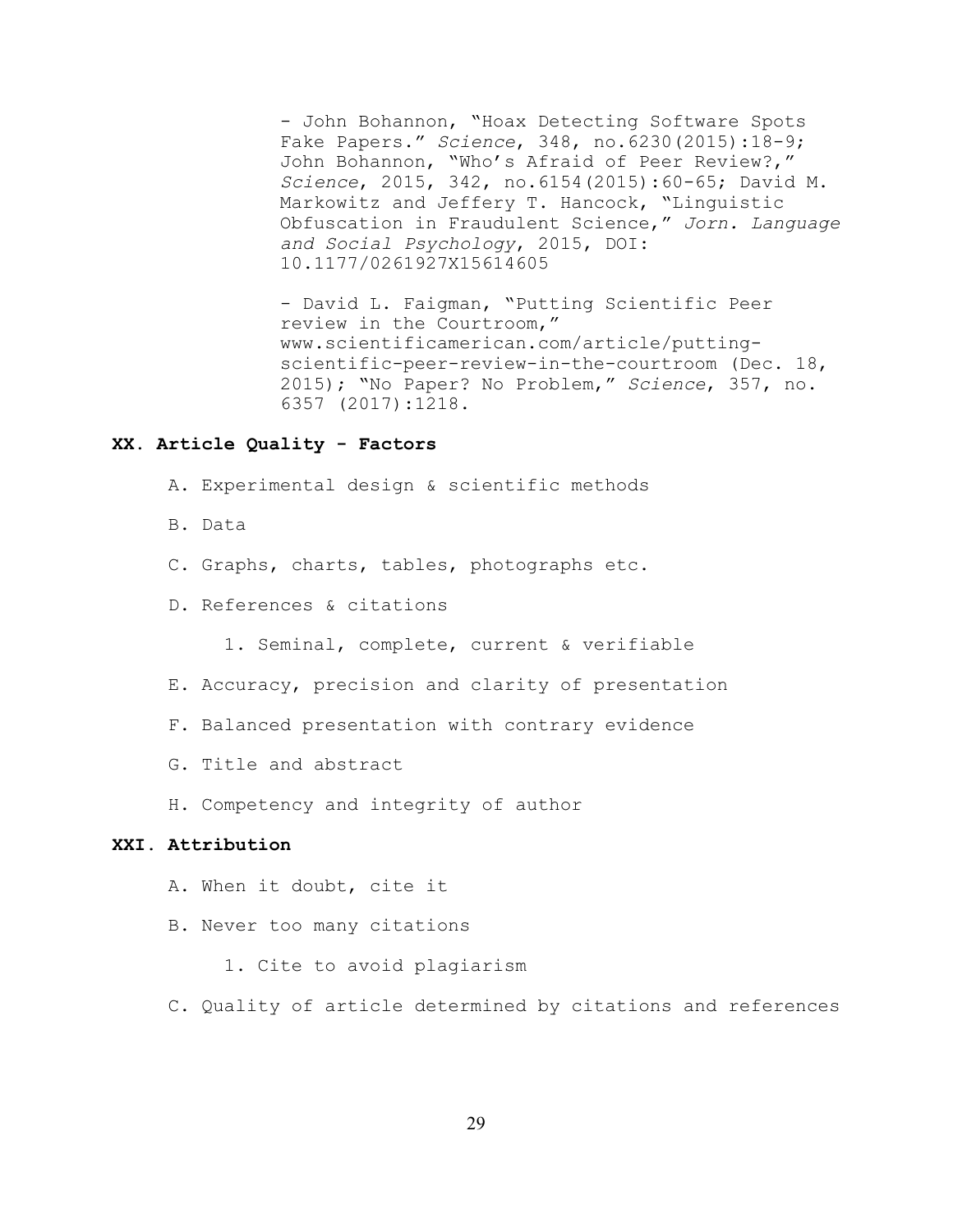- John Bohannon, "Hoax Detecting Software Spots Fake Papers." *Science*, 348, no.6230(2015):18-9; John Bohannon, "Who's Afraid of Peer Review?," *Science*, 2015, 342, no.6154(2015):60-65; David M. Markowitz and Jeffery T. Hancock, "Linguistic Obfuscation in Fraudulent Science," *Jorn. Language and Social Psychology*, 2015, DOI: 10.1177/0261927X15614605

- David L. Faigman, "Putting Scientific Peer review in the Courtroom," www.scientificamerican.com/article/puttingscientific-peer-review-in-the-courtroom (Dec. 18, 2015); "No Paper? No Problem," *Science*, 357, no. 6357 (2017):1218.

## **XX. Article Quality - Factors**

- A. Experimental design & scientific methods
- B. Data
- C. Graphs, charts, tables, photographs etc.
- D. References & citations
	- 1. Seminal, complete, current & verifiable
- E. Accuracy, precision and clarity of presentation
- F. Balanced presentation with contrary evidence
- G. Title and abstract
- H. Competency and integrity of author

### **XXI. Attribution**

- A. When it doubt, cite it
- B. Never too many citations
	- 1. Cite to avoid plagiarism
- C. Quality of article determined by citations and references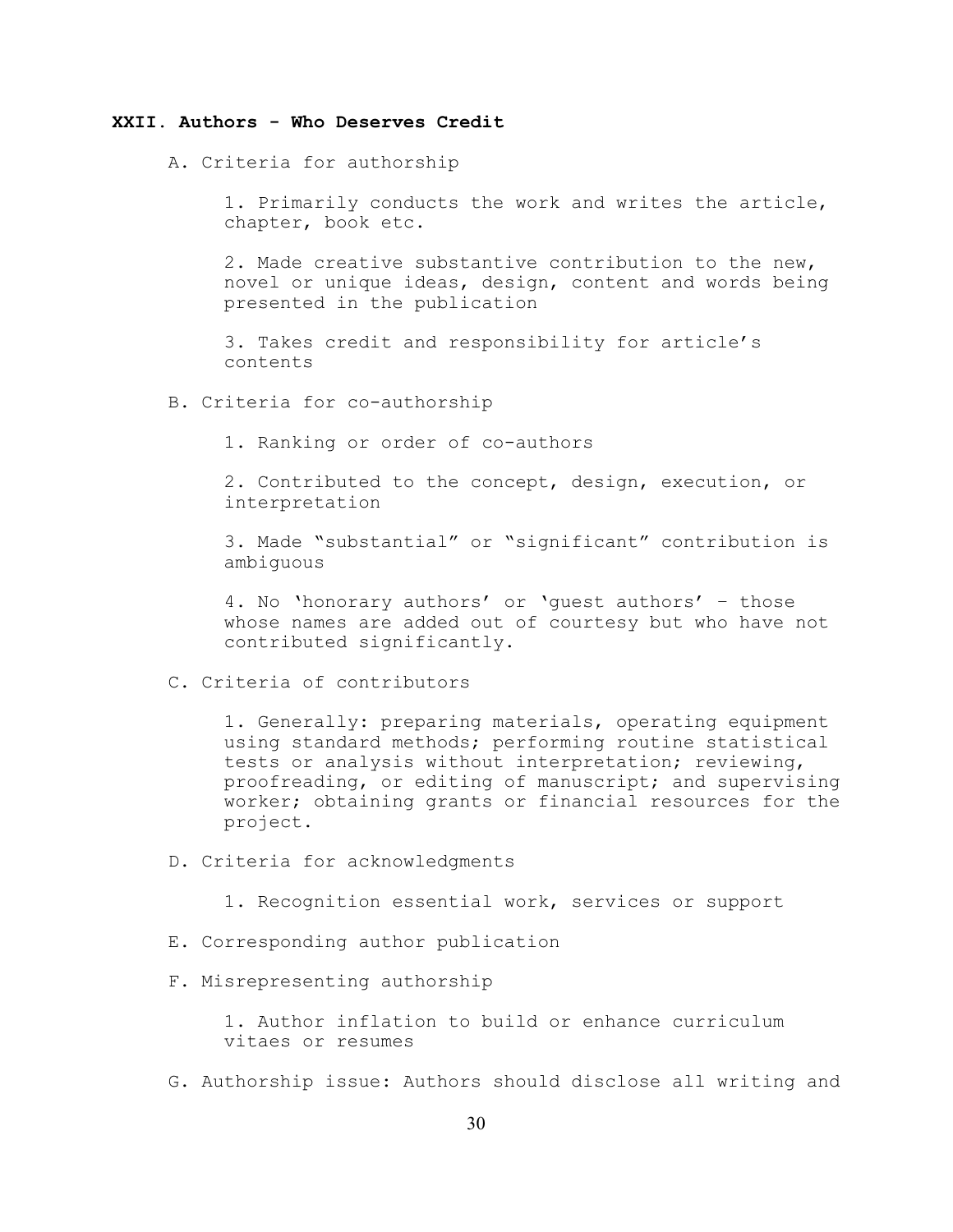### **XXII. Authors - Who Deserves Credit**

A. Criteria for authorship

1. Primarily conducts the work and writes the article, chapter, book etc.

2. Made creative substantive contribution to the new, novel or unique ideas, design, content and words being presented in the publication

3. Takes credit and responsibility for article's contents

B. Criteria for co-authorship

1. Ranking or order of co-authors

2. Contributed to the concept, design, execution, or interpretation

3. Made "substantial" or "significant" contribution is ambiguous

4. No 'honorary authors' or 'guest authors' – those whose names are added out of courtesy but who have not contributed significantly.

C. Criteria of contributors

1. Generally: preparing materials, operating equipment using standard methods; performing routine statistical tests or analysis without interpretation; reviewing, proofreading, or editing of manuscript; and supervising worker; obtaining grants or financial resources for the project.

D. Criteria for acknowledgments

1. Recognition essential work, services or support

- E. Corresponding author publication
- F. Misrepresenting authorship

1. Author inflation to build or enhance curriculum vitaes or resumes

G. Authorship issue: Authors should disclose all writing and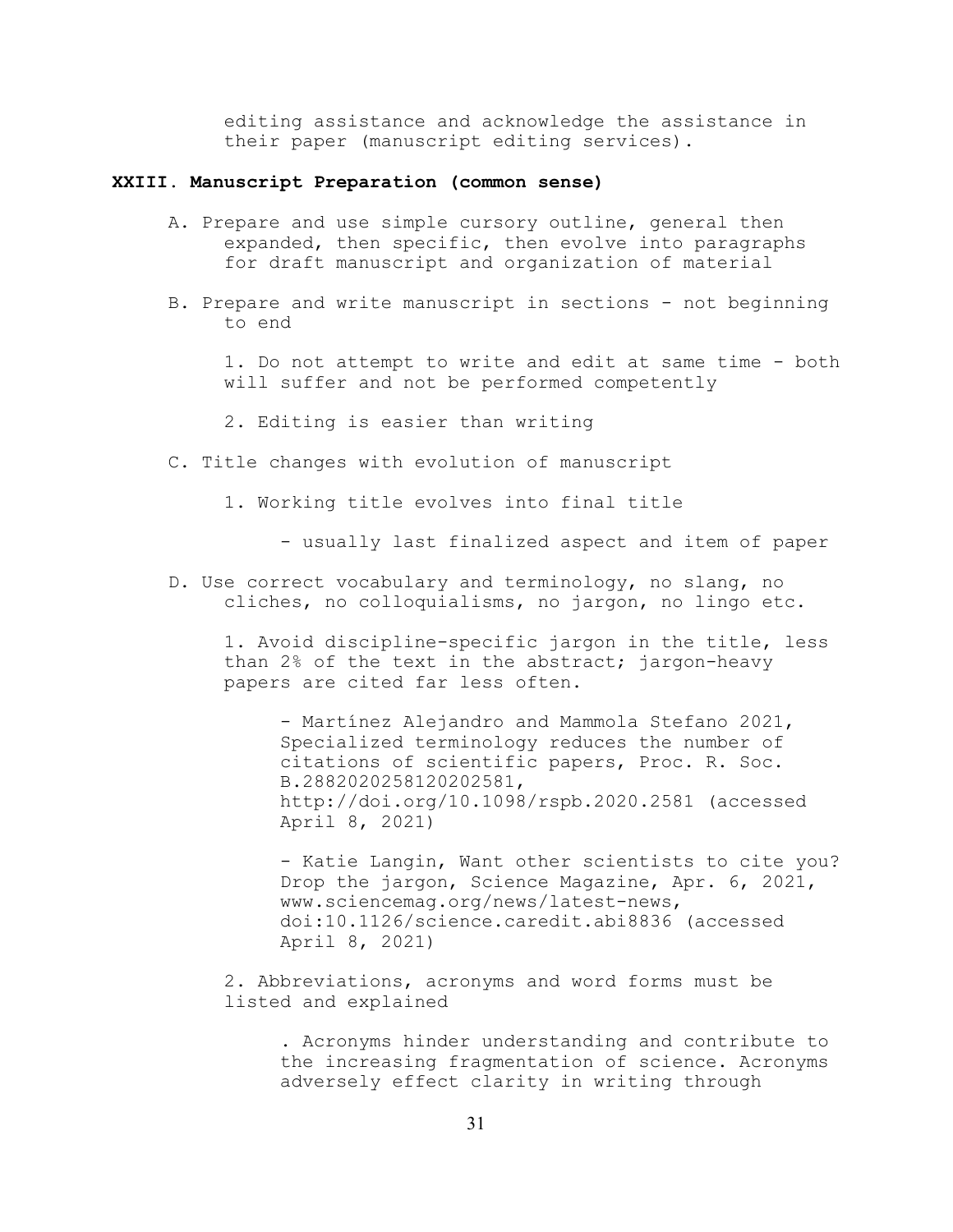editing assistance and acknowledge the assistance in their paper (manuscript editing services).

### **XXIII. Manuscript Preparation (common sense)**

- A. Prepare and use simple cursory outline, general then expanded, then specific, then evolve into paragraphs for draft manuscript and organization of material
- B. Prepare and write manuscript in sections not beginning to end

1. Do not attempt to write and edit at same time - both will suffer and not be performed competently

- 2. Editing is easier than writing
- C. Title changes with evolution of manuscript
	- 1. Working title evolves into final title
		- usually last finalized aspect and item of paper
- D. Use correct vocabulary and terminology, no slang, no cliches, no colloquialisms, no jargon, no lingo etc.

1. Avoid discipline-specific jargon in the title, less than 2% of the text in the abstract; jargon-heavy papers are cited far less often.

- Martínez Alejandro and Mammola Stefano 2021, Specialized terminology reduces the number of citations of scientific papers, Proc. R. Soc. B.2882020258120202581, http://doi.org/10.1098/rspb.2020.2581 (accessed April 8, 2021)

- Katie Langin, Want other scientists to cite you? Drop the jargon, Science Magazine, Apr. 6, 2021, www.sciencemag.org/news/latest-news, doi:10.1126/science.caredit.abi8836 (accessed April 8, 2021)

2. Abbreviations, acronyms and word forms must be listed and explained

> . Acronyms hinder understanding and contribute to the increasing fragmentation of science. Acronyms adversely effect clarity in writing through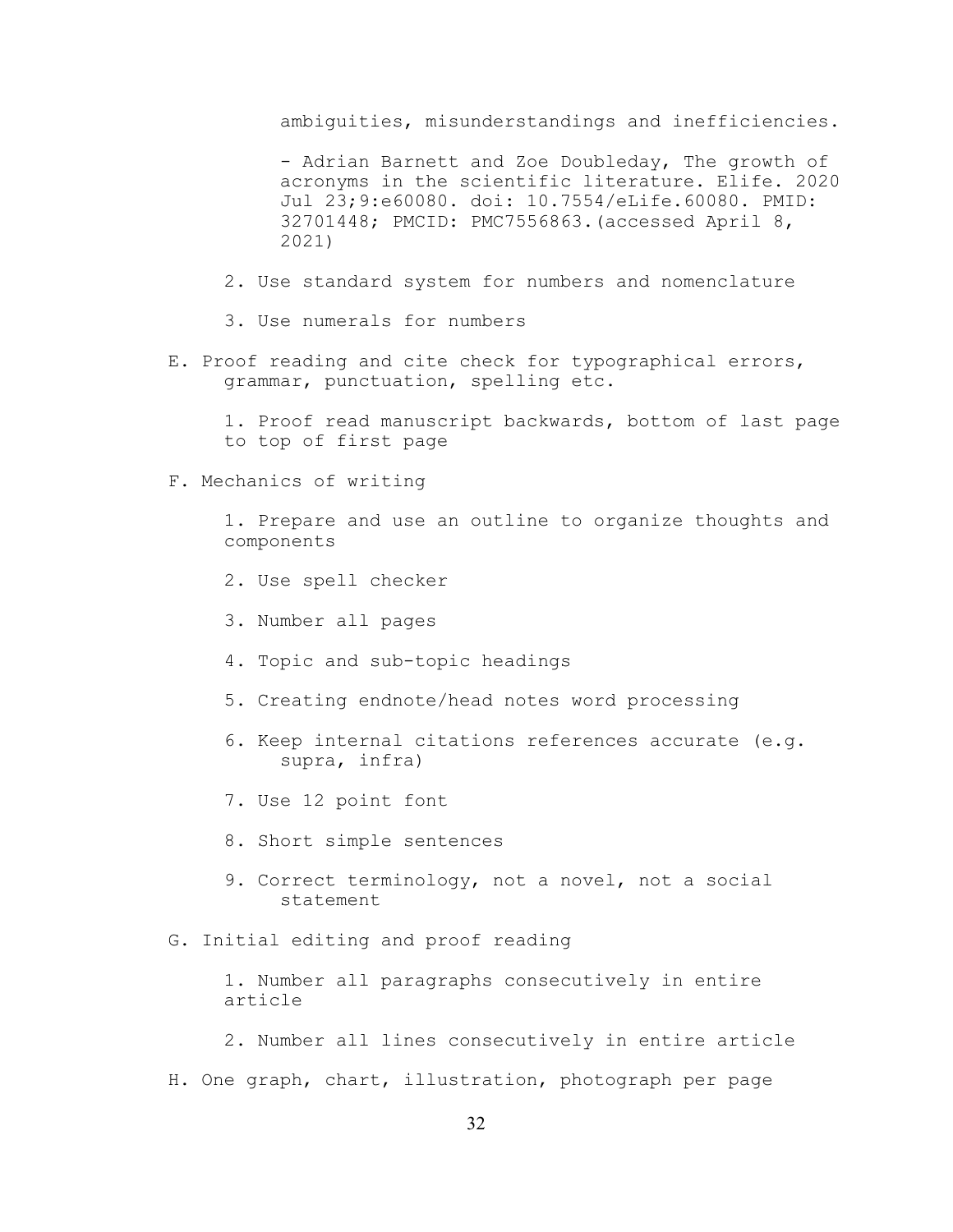ambiguities, misunderstandings and inefficiencies.

- Adrian Barnett and Zoe Doubleday, The growth of acronyms in the scientific literature. Elife. 2020 Jul 23;9:e60080. doi: 10.7554/eLife.60080. PMID: 32701448; PMCID: PMC7556863.(accessed April 8, 2021)

- 2. Use standard system for numbers and nomenclature
- 3. Use numerals for numbers
- E. Proof reading and cite check for typographical errors, grammar, punctuation, spelling etc.

1. Proof read manuscript backwards, bottom of last page to top of first page

F. Mechanics of writing

1. Prepare and use an outline to organize thoughts and components

- 2. Use spell checker
- 3. Number all pages
- 4. Topic and sub-topic headings
- 5. Creating endnote/head notes word processing
- 6. Keep internal citations references accurate (e.g. supra, infra)
- 7. Use 12 point font
- 8. Short simple sentences
- 9. Correct terminology, not a novel, not a social statement
- G. Initial editing and proof reading

1. Number all paragraphs consecutively in entire article

- 2. Number all lines consecutively in entire article
- H. One graph, chart, illustration, photograph per page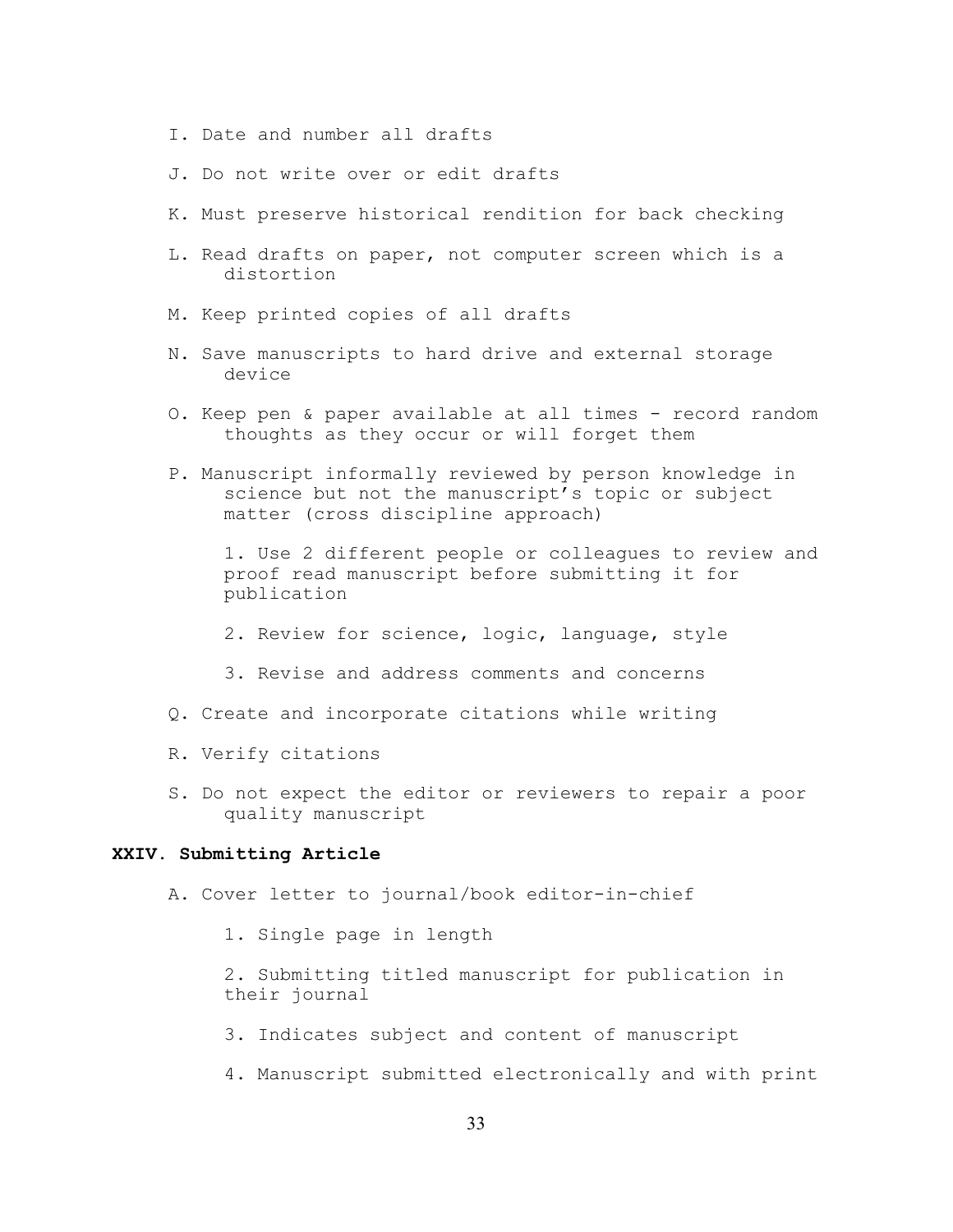- I. Date and number all drafts
- J. Do not write over or edit drafts
- K. Must preserve historical rendition for back checking
- L. Read drafts on paper, not computer screen which is a distortion
- M. Keep printed copies of all drafts
- N. Save manuscripts to hard drive and external storage device
- O. Keep pen & paper available at all times record random thoughts as they occur or will forget them
- P. Manuscript informally reviewed by person knowledge in science but not the manuscript's topic or subject matter (cross discipline approach)

1. Use 2 different people or colleagues to review and proof read manuscript before submitting it for publication

- 2. Review for science, logic, language, style
- 3. Revise and address comments and concerns
- Q. Create and incorporate citations while writing
- R. Verify citations
- S. Do not expect the editor or reviewers to repair a poor quality manuscript

#### **XXIV. Submitting Article**

- A. Cover letter to journal/book editor-in-chief
	- 1. Single page in length
	- 2. Submitting titled manuscript for publication in their journal
	- 3. Indicates subject and content of manuscript
	- 4. Manuscript submitted electronically and with print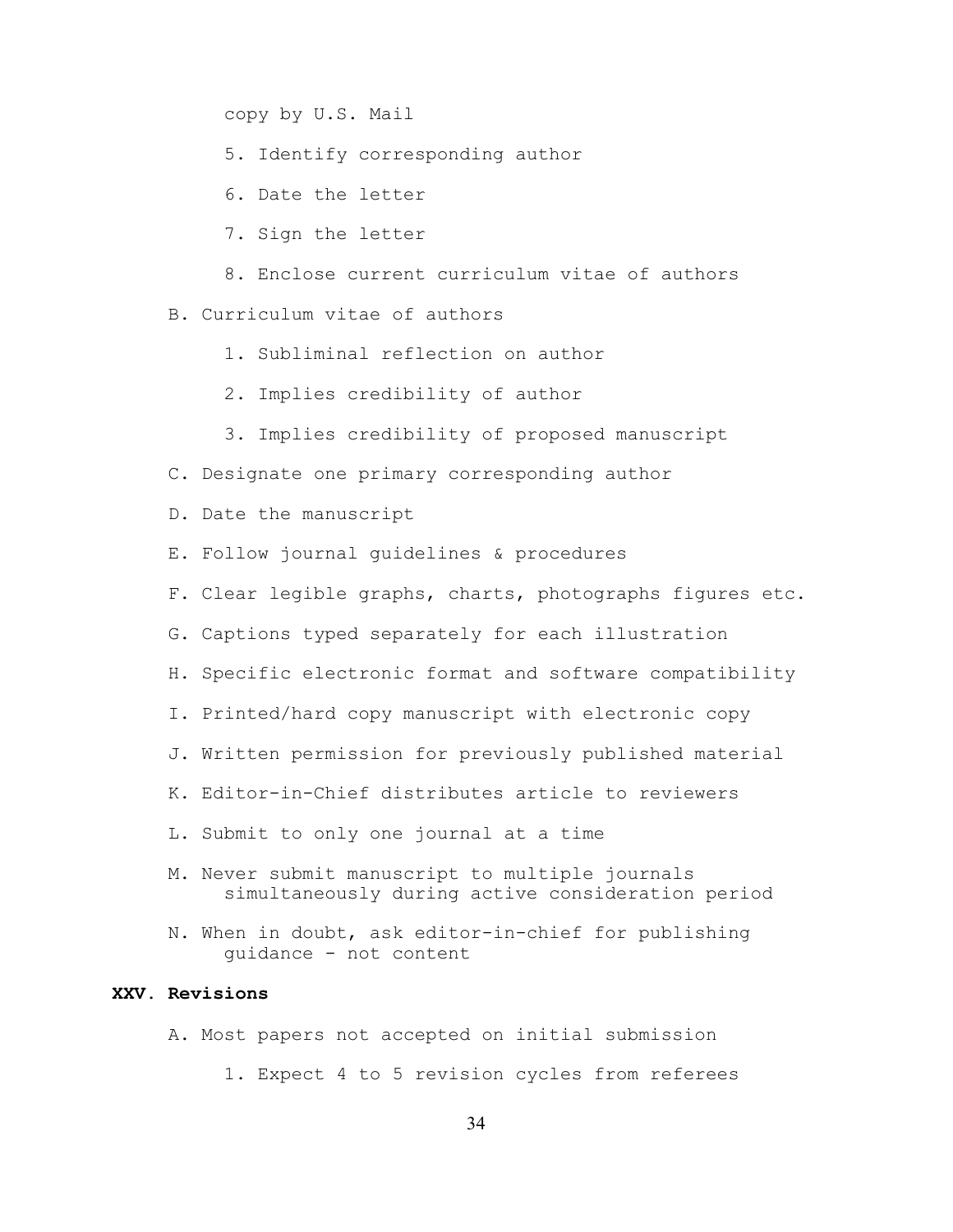copy by U.S. Mail

- 5. Identify corresponding author
- 6. Date the letter
- 7. Sign the letter
- 8. Enclose current curriculum vitae of authors

B. Curriculum vitae of authors

- 1. Subliminal reflection on author
- 2. Implies credibility of author
- 3. Implies credibility of proposed manuscript
- C. Designate one primary corresponding author
- D. Date the manuscript
- E. Follow journal guidelines & procedures
- F. Clear legible graphs, charts, photographs figures etc.
- G. Captions typed separately for each illustration
- H. Specific electronic format and software compatibility
- I. Printed/hard copy manuscript with electronic copy
- J. Written permission for previously published material
- K. Editor-in-Chief distributes article to reviewers
- L. Submit to only one journal at a time
- M. Never submit manuscript to multiple journals simultaneously during active consideration period
- N. When in doubt, ask editor-in-chief for publishing guidance - not content

## **XXV. Revisions**

- A. Most papers not accepted on initial submission
	- 1. Expect 4 to 5 revision cycles from referees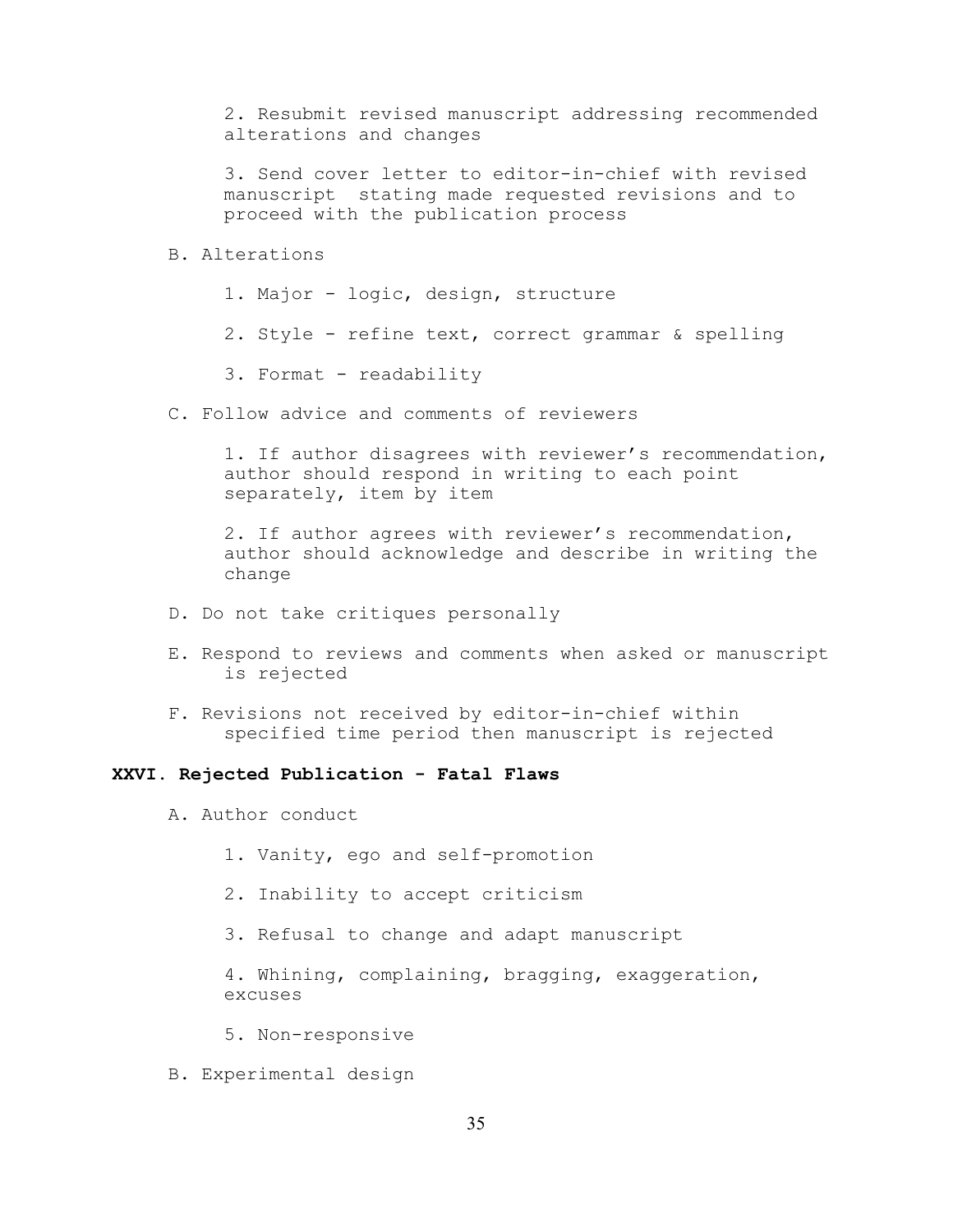2. Resubmit revised manuscript addressing recommended alterations and changes

3. Send cover letter to editor-in-chief with revised manuscript stating made requested revisions and to proceed with the publication process

### B. Alterations

1. Major - logic, design, structure

2. Style - refine text, correct grammar & spelling

3. Format - readability

C. Follow advice and comments of reviewers

1. If author disagrees with reviewer's recommendation, author should respond in writing to each point separately, item by item

2. If author agrees with reviewer's recommendation, author should acknowledge and describe in writing the change

- D. Do not take critiques personally
- E. Respond to reviews and comments when asked or manuscript is rejected
- F. Revisions not received by editor-in-chief within specified time period then manuscript is rejected

### **XXVI. Rejected Publication - Fatal Flaws**

- A. Author conduct
	- 1. Vanity, ego and self-promotion
	- 2. Inability to accept criticism
	- 3. Refusal to change and adapt manuscript

4. Whining, complaining, bragging, exaggeration, excuses

- 5. Non-responsive
- B. Experimental design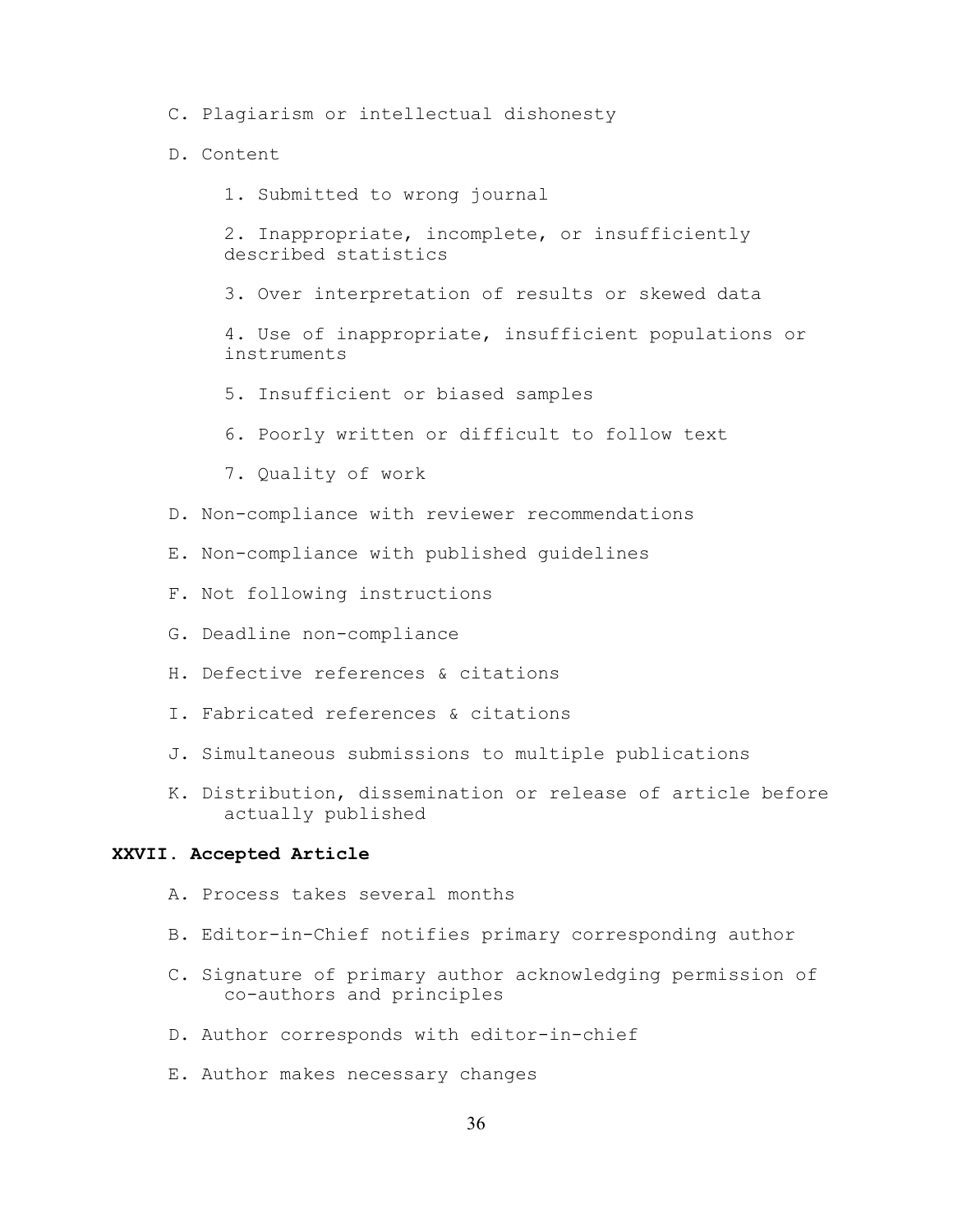- C. Plagiarism or intellectual dishonesty
- D. Content
	- 1. Submitted to wrong journal

2. Inappropriate, incomplete, or insufficiently described statistics

3. Over interpretation of results or skewed data

4. Use of inappropriate, insufficient populations or instruments

- 5. Insufficient or biased samples
- 6. Poorly written or difficult to follow text
- 7. Quality of work
- D. Non-compliance with reviewer recommendations
- E. Non-compliance with published guidelines
- F. Not following instructions
- G. Deadline non-compliance
- H. Defective references & citations
- I. Fabricated references & citations
- J. Simultaneous submissions to multiple publications
- K. Distribution, dissemination or release of article before actually published

### **XXVII. Accepted Article**

- A. Process takes several months
- B. Editor-in-Chief notifies primary corresponding author
- C. Signature of primary author acknowledging permission of co-authors and principles
- D. Author corresponds with editor-in-chief
- E. Author makes necessary changes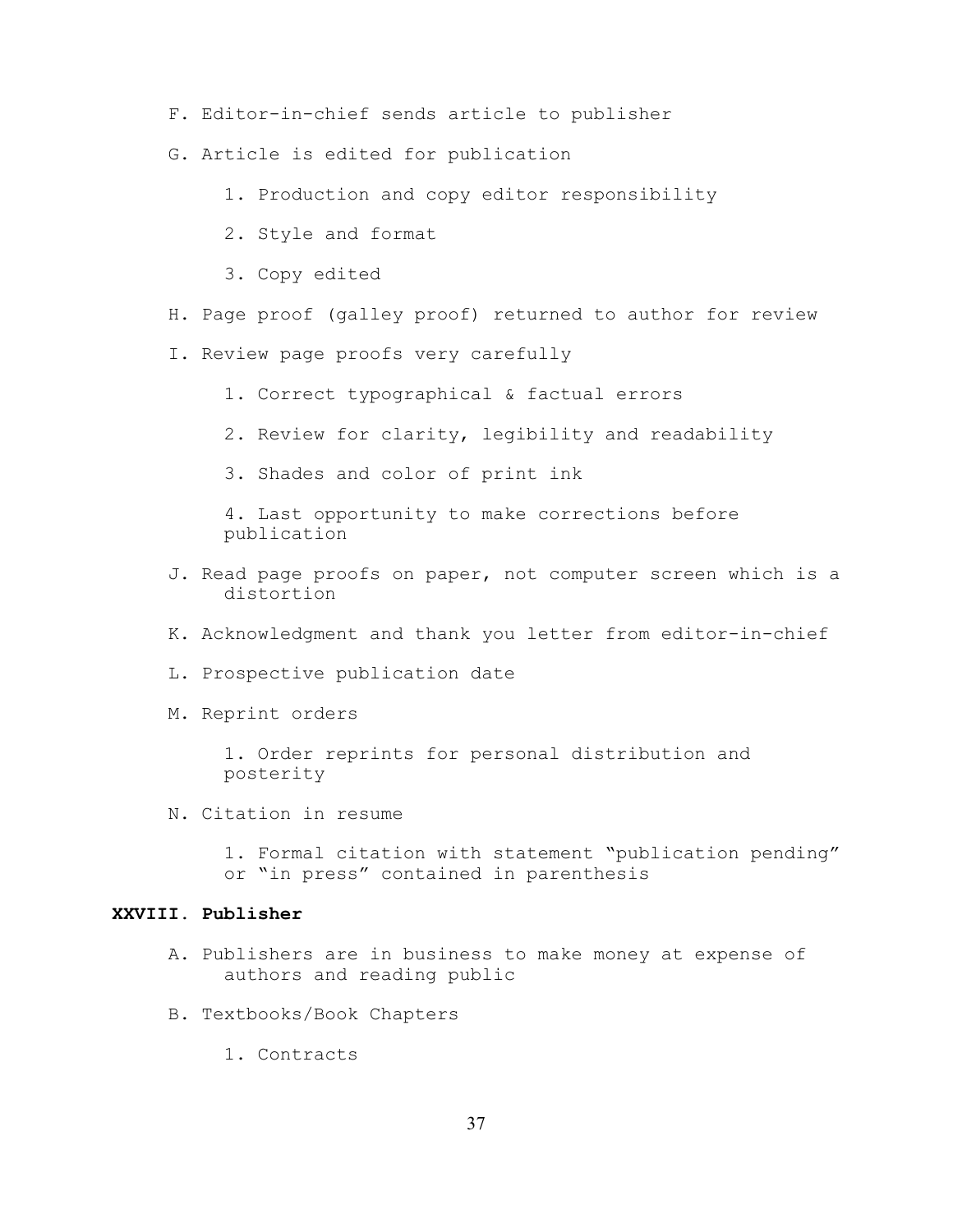- F. Editor-in-chief sends article to publisher
- G. Article is edited for publication
	- 1. Production and copy editor responsibility
	- 2. Style and format
	- 3. Copy edited
- H. Page proof (galley proof) returned to author for review
- I. Review page proofs very carefully
	- 1. Correct typographical & factual errors
	- 2. Review for clarity, legibility and readability
	- 3. Shades and color of print ink

4. Last opportunity to make corrections before publication

- J. Read page proofs on paper, not computer screen which is a distortion
- K. Acknowledgment and thank you letter from editor-in-chief
- L. Prospective publication date
- M. Reprint orders

1. Order reprints for personal distribution and posterity

N. Citation in resume

1. Formal citation with statement "publication pending" or "in press" contained in parenthesis

## **XXVIII. Publisher**

- A. Publishers are in business to make money at expense of authors and reading public
- B. Textbooks/Book Chapters
	- 1. Contracts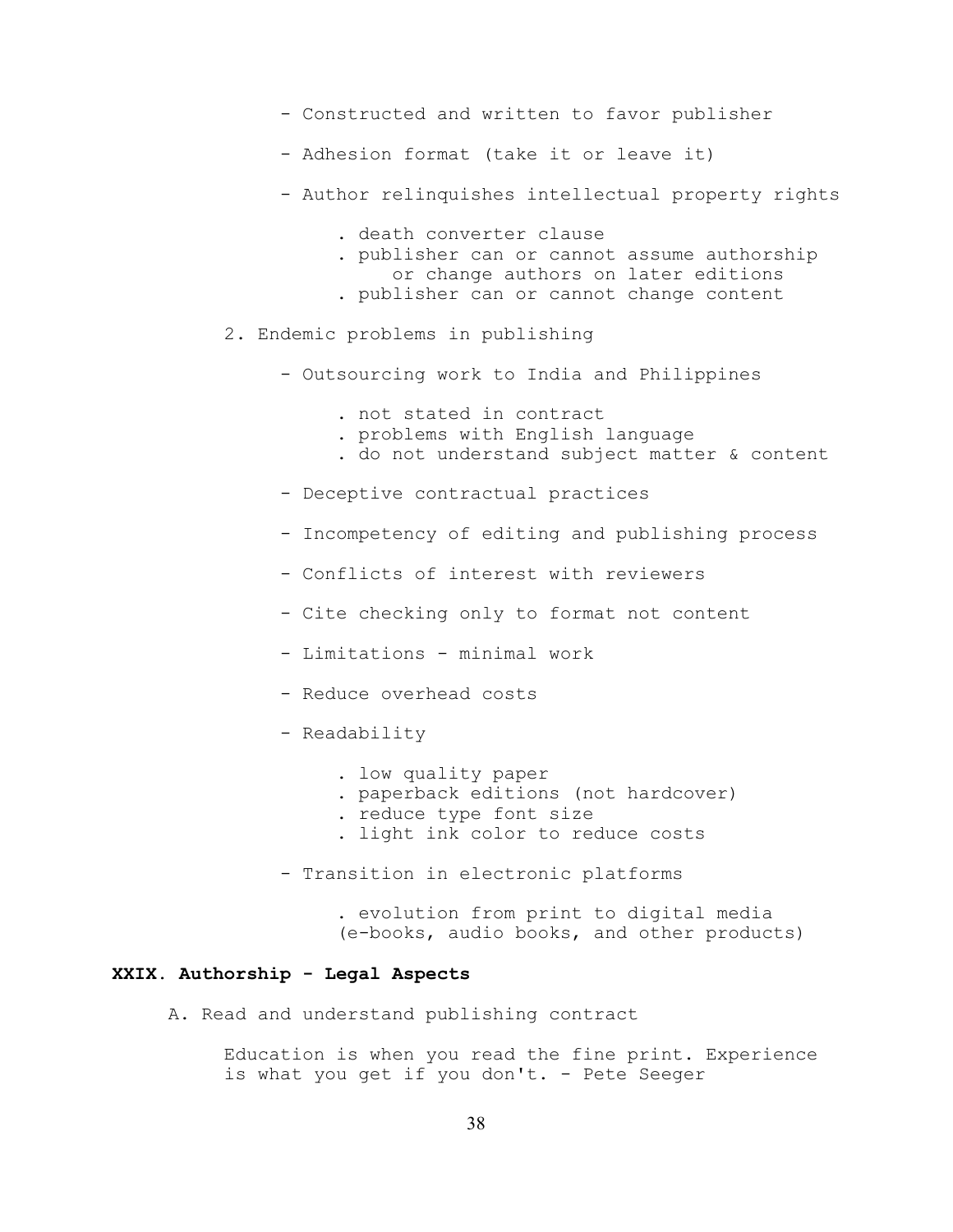- Constructed and written to favor publisher
- Adhesion format (take it or leave it)
- Author relinquishes intellectual property rights
	- . death converter clause
	- . publisher can or cannot assume authorship
	- or change authors on later editions
	- . publisher can or cannot change content
- 2. Endemic problems in publishing
	- Outsourcing work to India and Philippines
		- . not stated in contract
		- . problems with English language
		- . do not understand subject matter & content
	- Deceptive contractual practices
	- Incompetency of editing and publishing process
	- Conflicts of interest with reviewers
	- Cite checking only to format not content
	- Limitations minimal work
	- Reduce overhead costs
	- Readability
		- . low quality paper
		- . paperback editions (not hardcover)
		- . reduce type font size
		- . light ink color to reduce costs
	- Transition in electronic platforms
		- . evolution from print to digital media (e-books, audio books, and other products)

## **XXIX. Authorship - Legal Aspects**

A. Read and understand publishing contract

Education is when you read the fine print. Experience is what you get if you don't. - Pete Seeger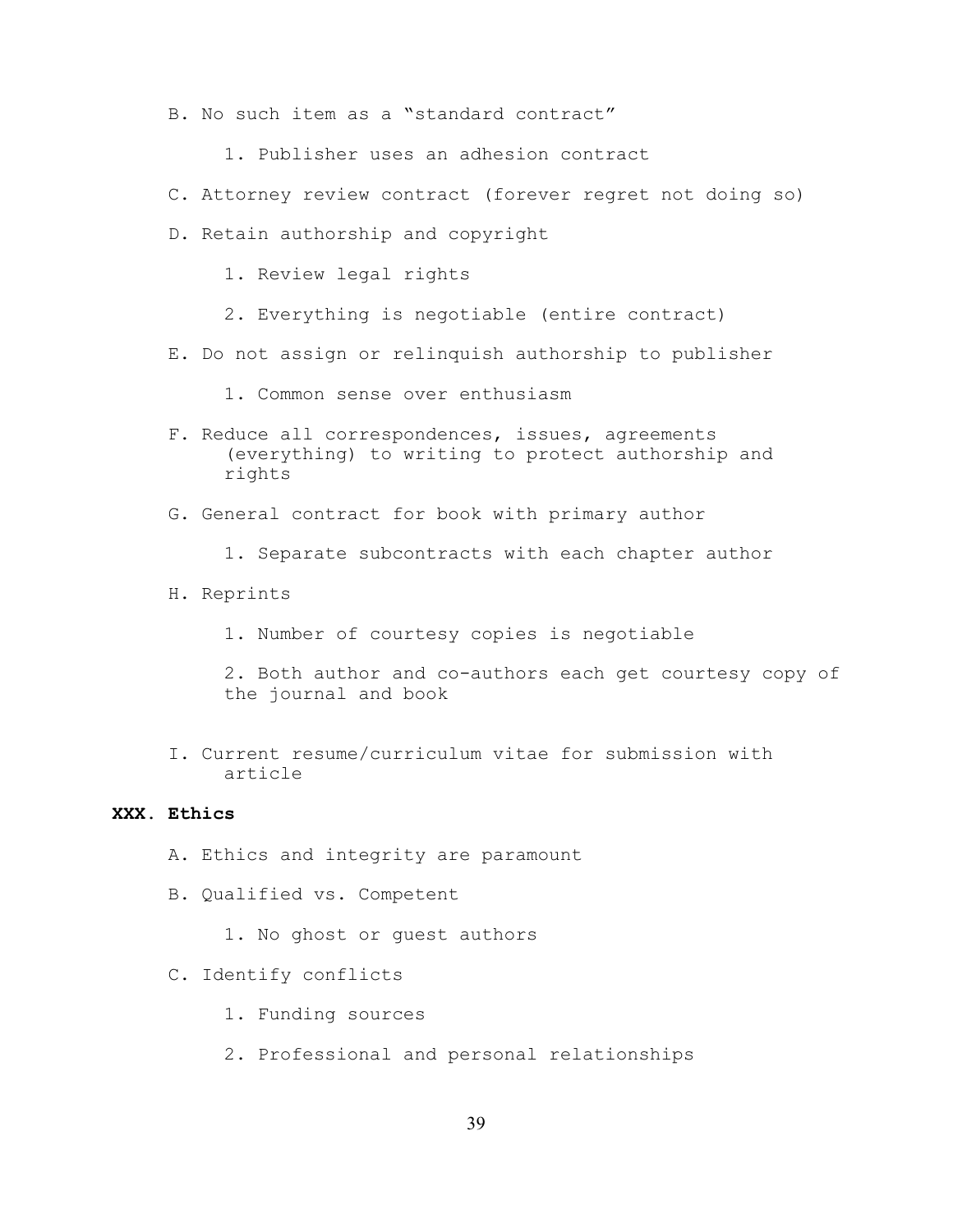- B. No such item as a "standard contract"
	- 1. Publisher uses an adhesion contract
- C. Attorney review contract (forever regret not doing so)
- D. Retain authorship and copyright
	- 1. Review legal rights
	- 2. Everything is negotiable (entire contract)
- E. Do not assign or relinquish authorship to publisher
	- 1. Common sense over enthusiasm
- F. Reduce all correspondences, issues, agreements (everything) to writing to protect authorship and rights
- G. General contract for book with primary author
	- 1. Separate subcontracts with each chapter author
- H. Reprints
	- 1. Number of courtesy copies is negotiable
	- 2. Both author and co-authors each get courtesy copy of the journal and book
- I. Current resume/curriculum vitae for submission with article

### **XXX. Ethics**

- A. Ethics and integrity are paramount
- B. Qualified vs. Competent
	- 1. No ghost or guest authors
- C. Identify conflicts
	- 1. Funding sources
	- 2. Professional and personal relationships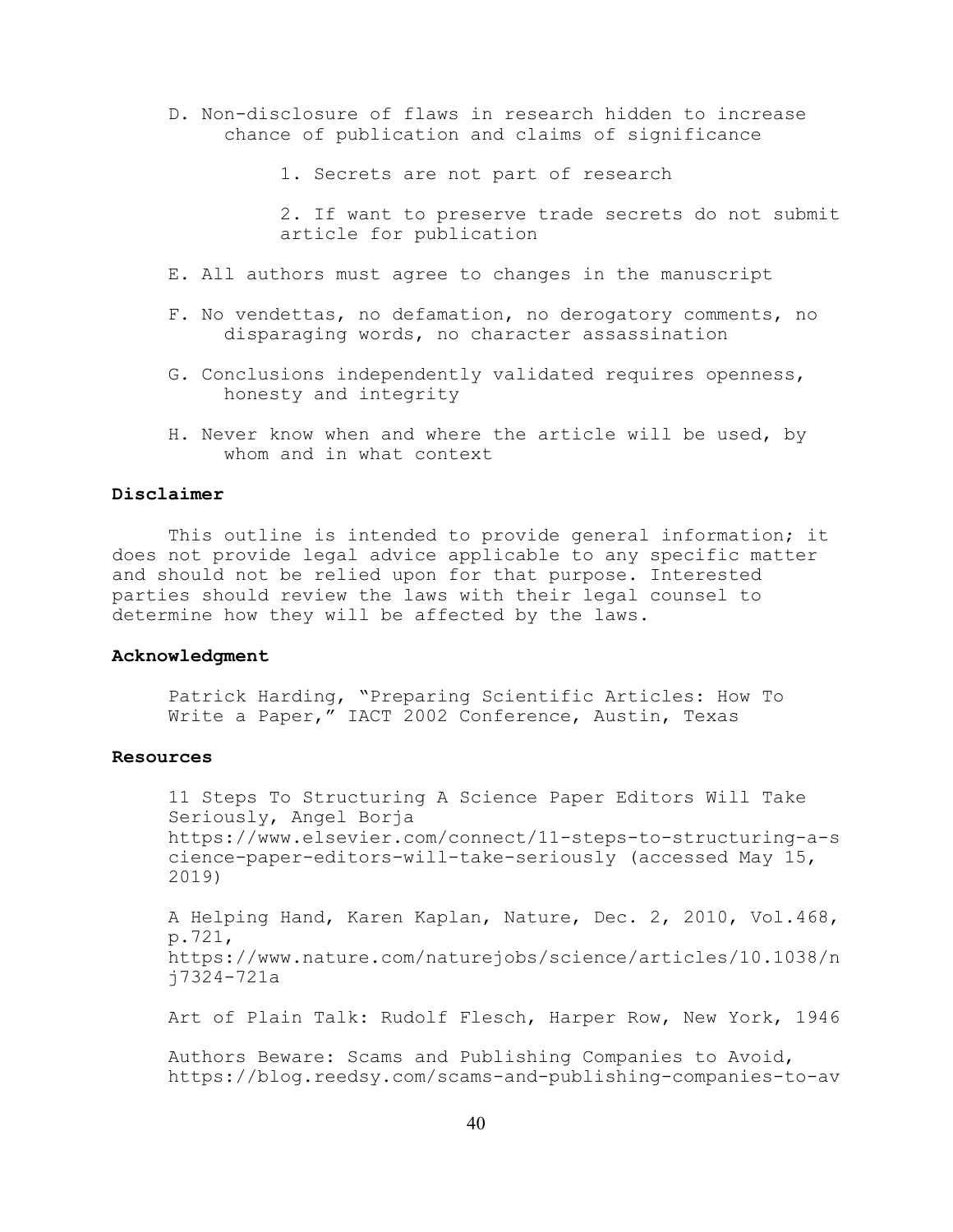- D. Non-disclosure of flaws in research hidden to increase chance of publication and claims of significance
	- 1. Secrets are not part of research

2. If want to preserve trade secrets do not submit article for publication

- E. All authors must agree to changes in the manuscript
- F. No vendettas, no defamation, no derogatory comments, no disparaging words, no character assassination
- G. Conclusions independently validated requires openness, honesty and integrity
- H. Never know when and where the article will be used, by whom and in what context

#### **Disclaimer**

This outline is intended to provide general information; it does not provide legal advice applicable to any specific matter and should not be relied upon for that purpose. Interested parties should review the laws with their legal counsel to determine how they will be affected by the laws.

#### **Acknowledgment**

Patrick Harding, "Preparing Scientific Articles: How To Write a Paper," IACT 2002 Conference, Austin, Texas

### **Resources**

11 Steps To Structuring A Science Paper Editors Will Take Seriously, Angel Borja https://www.elsevier.com/connect/11-steps-to-structuring-a-s cience-paper-editors-will-take-seriously (accessed May 15, 2019)

A Helping Hand, Karen Kaplan, Nature, Dec. 2, 2010, Vol.468, p.721, https://www.nature.com/naturejobs/science/articles/10.1038/n j7324-721a

Art of Plain Talk: Rudolf Flesch, Harper Row, New York, 1946

Authors Beware: Scams and Publishing Companies to Avoid, https://blog.reedsy.com/scams-and-publishing-companies-to-av